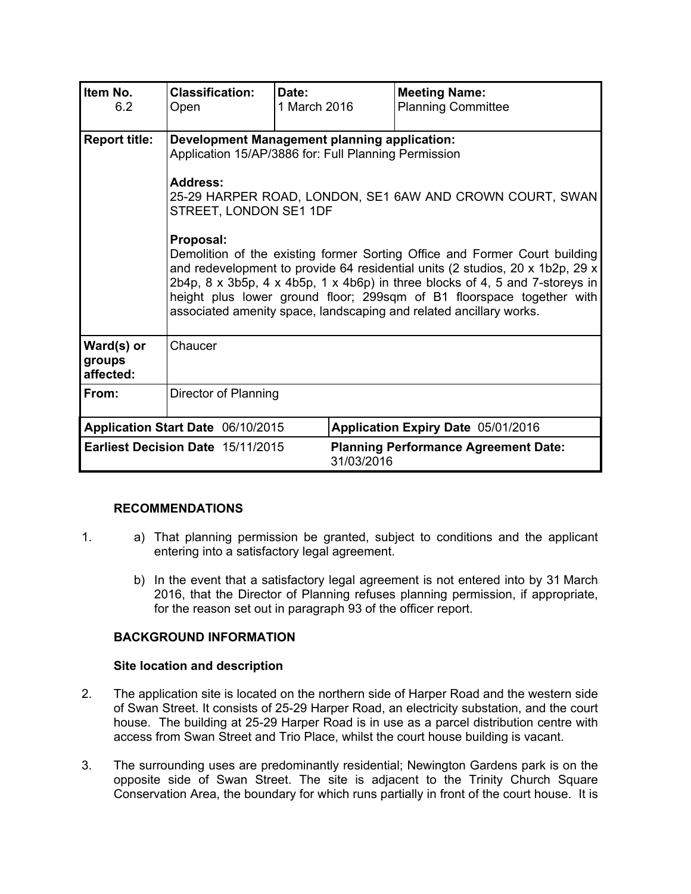| Item No.<br>6.2                   | <b>Classification:</b><br>Open                                                                                                                                                                                                                                                                                                                                                                                                  | Date:<br>1 March 2016 | <b>Meeting Name:</b><br><b>Planning Committee</b> |  |
|-----------------------------------|---------------------------------------------------------------------------------------------------------------------------------------------------------------------------------------------------------------------------------------------------------------------------------------------------------------------------------------------------------------------------------------------------------------------------------|-----------------------|---------------------------------------------------|--|
| <b>Report title:</b>              | <b>Development Management planning application:</b><br>Application 15/AP/3886 for: Full Planning Permission                                                                                                                                                                                                                                                                                                                     |                       |                                                   |  |
|                                   | <b>Address:</b><br>25-29 HARPER ROAD, LONDON, SE1 6AW AND CROWN COURT, SWAN<br>STREET, LONDON SE1 1DF                                                                                                                                                                                                                                                                                                                           |                       |                                                   |  |
|                                   | Proposal:<br>Demolition of the existing former Sorting Office and Former Court building<br>and redevelopment to provide 64 residential units (2 studios, 20 x 1b2p, 29 x<br>2b4p, $8 \times 3b5p$ , $4 \times 4b5p$ , $1 \times 4b6p$ ) in three blocks of 4, 5 and 7-storeys in<br>height plus lower ground floor; 299sqm of B1 floorspace together with<br>associated amenity space, landscaping and related ancillary works. |                       |                                                   |  |
| Ward(s) or<br>groups<br>affected: | Chaucer                                                                                                                                                                                                                                                                                                                                                                                                                         |                       |                                                   |  |
| From:                             | Director of Planning                                                                                                                                                                                                                                                                                                                                                                                                            |                       |                                                   |  |
| Application Start Date 06/10/2015 |                                                                                                                                                                                                                                                                                                                                                                                                                                 |                       | Application Expiry Date 05/01/2016                |  |
|                                   | Earliest Decision Date 15/11/2015                                                                                                                                                                                                                                                                                                                                                                                               | 31/03/2016            | <b>Planning Performance Agreement Date:</b>       |  |

## **RECOMMENDATIONS**

- 1. a) That planning permission be granted, subject to conditions and the applicant entering into a satisfactory legal agreement.
	- b) In the event that a satisfactory legal agreement is not entered into by 31 March 2016, that the Director of Planning refuses planning permission, if appropriate, for the reason set out in paragraph 93 of the officer report.

## **BACKGROUND INFORMATION**

#### **Site location and description**

- 2. The application site is located on the northern side of Harper Road and the western side of Swan Street. It consists of 25-29 Harper Road, an electricity substation, and the court house. The building at 25-29 Harper Road is in use as a parcel distribution centre with access from Swan Street and Trio Place, whilst the court house building is vacant.
- 3. The surrounding uses are predominantly residential; Newington Gardens park is on the opposite side of Swan Street. The site is adjacent to the Trinity Church Square Conservation Area, the boundary for which runs partially in front of the court house. It is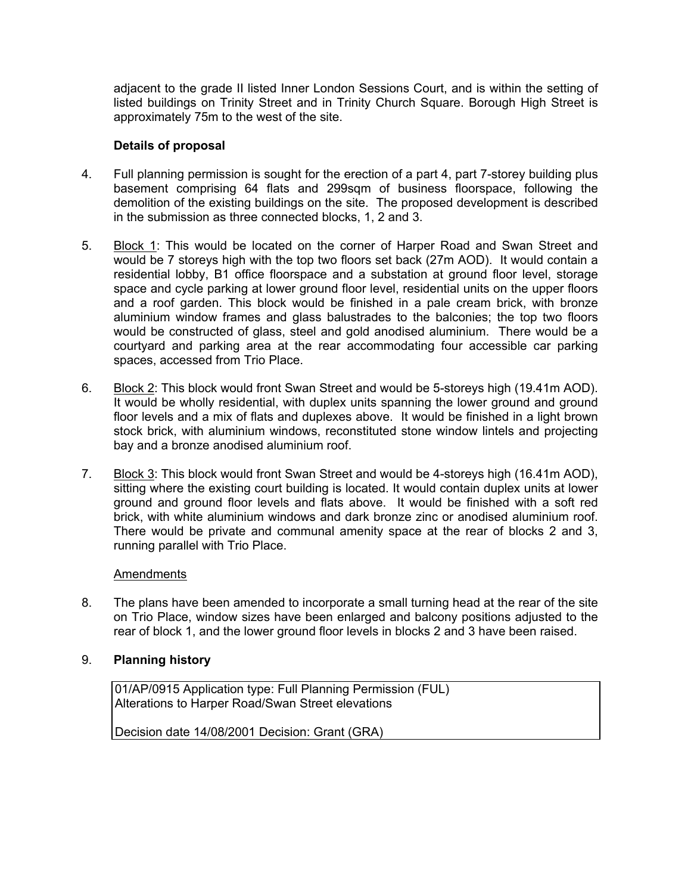adjacent to the grade II listed Inner London Sessions Court, and is within the setting of listed buildings on Trinity Street and in Trinity Church Square. Borough High Street is approximately 75m to the west of the site.

## **Details of proposal**

- 4. Full planning permission is sought for the erection of a part 4, part 7-storey building plus basement comprising 64 flats and 299sqm of business floorspace, following the demolition of the existing buildings on the site. The proposed development is described in the submission as three connected blocks, 1, 2 and 3.
- 5. Block 1: This would be located on the corner of Harper Road and Swan Street and would be 7 storeys high with the top two floors set back (27m AOD). It would contain a residential lobby, B1 office floorspace and a substation at ground floor level, storage space and cycle parking at lower ground floor level, residential units on the upper floors and a roof garden. This block would be finished in a pale cream brick, with bronze aluminium window frames and glass balustrades to the balconies; the top two floors would be constructed of glass, steel and gold anodised aluminium. There would be a courtyard and parking area at the rear accommodating four accessible car parking spaces, accessed from Trio Place.
- 6. Block 2: This block would front Swan Street and would be 5-storeys high (19.41m AOD). It would be wholly residential, with duplex units spanning the lower ground and ground floor levels and a mix of flats and duplexes above. It would be finished in a light brown stock brick, with aluminium windows, reconstituted stone window lintels and projecting bay and a bronze anodised aluminium roof.
- 7. Block 3: This block would front Swan Street and would be 4-storeys high (16.41m AOD), sitting where the existing court building is located. It would contain duplex units at lower ground and ground floor levels and flats above. It would be finished with a soft red brick, with white aluminium windows and dark bronze zinc or anodised aluminium roof. There would be private and communal amenity space at the rear of blocks 2 and 3, running parallel with Trio Place.

## Amendments

8. The plans have been amended to incorporate a small turning head at the rear of the site on Trio Place, window sizes have been enlarged and balcony positions adjusted to the rear of block 1, and the lower ground floor levels in blocks 2 and 3 have been raised.

## 9. **Planning history**

01/AP/0915 Application type: Full Planning Permission (FUL) Alterations to Harper Road/Swan Street elevations

Decision date 14/08/2001 Decision: Grant (GRA)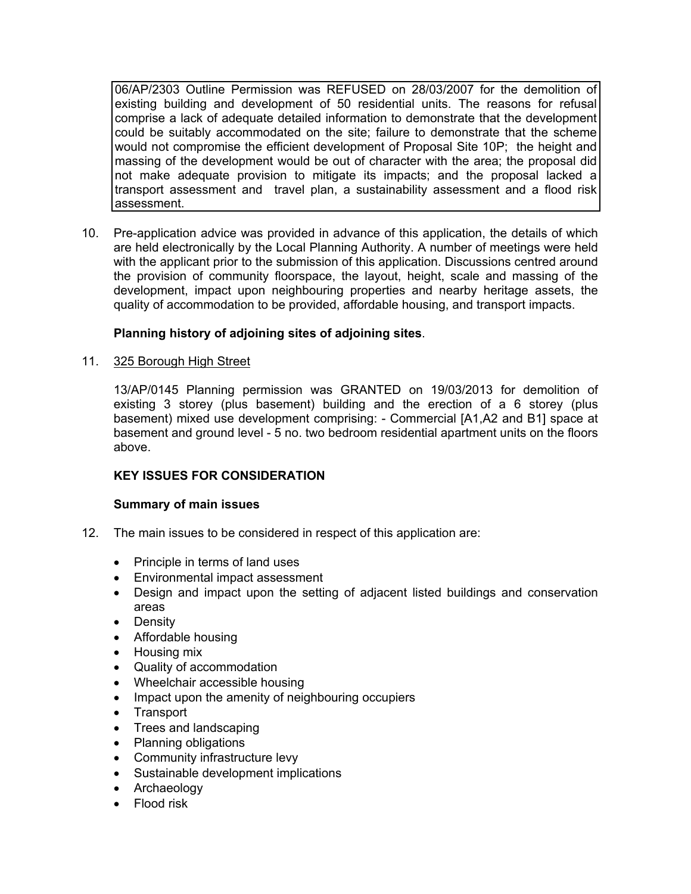06/AP/2303 Outline Permission was REFUSED on 28/03/2007 for the demolition of existing building and development of 50 residential units. The reasons for refusal comprise a lack of adequate detailed information to demonstrate that the development could be suitably accommodated on the site; failure to demonstrate that the scheme would not compromise the efficient development of Proposal Site 10P; the height and massing of the development would be out of character with the area; the proposal did not make adequate provision to mitigate its impacts; and the proposal lacked a transport assessment and travel plan, a sustainability assessment and a flood risk assessment.

10. Pre-application advice was provided in advance of this application, the details of which are held electronically by the Local Planning Authority. A number of meetings were held with the applicant prior to the submission of this application. Discussions centred around the provision of community floorspace, the layout, height, scale and massing of the development, impact upon neighbouring properties and nearby heritage assets, the quality of accommodation to be provided, affordable housing, and transport impacts.

# **Planning history of adjoining sites of adjoining sites**.

## 11. 325 Borough High Street

13/AP/0145 Planning permission was GRANTED on 19/03/2013 for demolition of existing 3 storey (plus basement) building and the erection of a 6 storey (plus basement) mixed use development comprising: - Commercial [A1,A2 and B1] space at basement and ground level - 5 no. two bedroom residential apartment units on the floors above.

## **KEY ISSUES FOR CONSIDERATION**

#### **Summary of main issues**

- 12. The main issues to be considered in respect of this application are:
	- Principle in terms of land uses
	- Environmental impact assessment
	- Design and impact upon the setting of adjacent listed buildings and conservation areas
	- Density
	- Affordable housing
	- Housing mix
	- Quality of accommodation
	- Wheelchair accessible housing
	- Impact upon the amenity of neighbouring occupiers
	- Transport
	- Trees and landscaping
	- Planning obligations
	- Community infrastructure levy
	- Sustainable development implications
	- Archaeology
	- Flood risk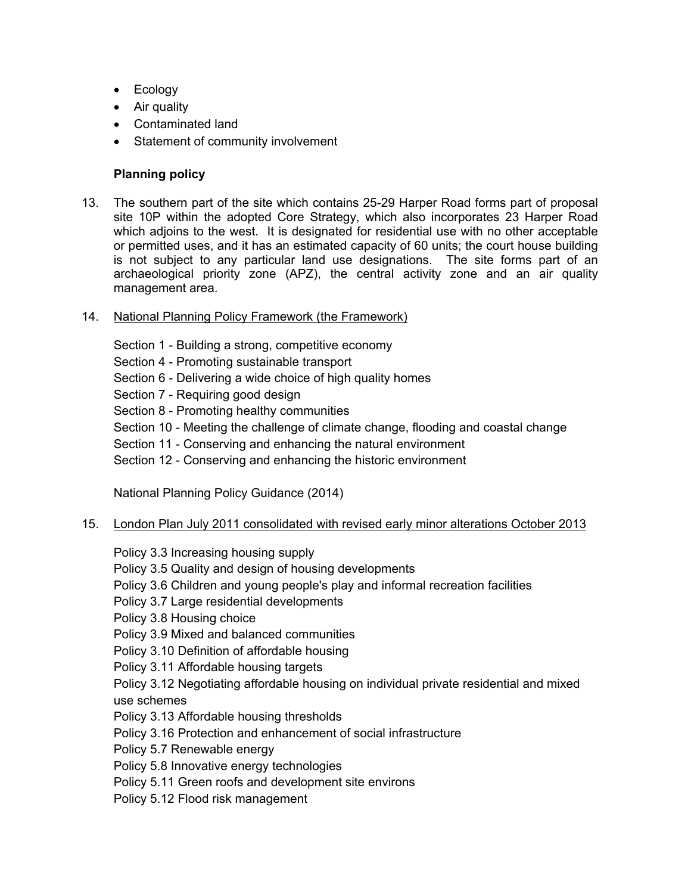- Ecology
- Air quality
- Contaminated land
- Statement of community involvement

## **Planning policy**

- 13. The southern part of the site which contains 25-29 Harper Road forms part of proposal site 10P within the adopted Core Strategy, which also incorporates 23 Harper Road which adjoins to the west. It is designated for residential use with no other acceptable or permitted uses, and it has an estimated capacity of 60 units; the court house building is not subject to any particular land use designations. The site forms part of an archaeological priority zone (APZ), the central activity zone and an air quality management area.
- 14. National Planning Policy Framework (the Framework)

Section 1 - Building a strong, competitive economy

- Section 4 Promoting sustainable transport
- Section 6 Delivering a wide choice of high quality homes
- Section 7 Requiring good design
- Section 8 Promoting healthy communities
- Section 10 Meeting the challenge of climate change, flooding and coastal change
- Section 11 Conserving and enhancing the natural environment
- Section 12 Conserving and enhancing the historic environment

National Planning Policy Guidance (2014)

15. London Plan July 2011 consolidated with revised early minor alterations October 2013

Policy 3.3 Increasing housing supply

- Policy 3.5 Quality and design of housing developments
- Policy 3.6 Children and young people's play and informal recreation facilities

Policy 3.7 Large residential developments

Policy 3.8 Housing choice

Policy 3.9 Mixed and balanced communities

Policy 3.10 Definition of affordable housing

Policy 3.11 Affordable housing targets

Policy 3.12 Negotiating affordable housing on individual private residential and mixed use schemes

Policy 3.13 Affordable housing thresholds

Policy 3.16 Protection and enhancement of social infrastructure

Policy 5.7 Renewable energy

Policy 5.8 Innovative energy technologies

Policy 5.11 Green roofs and development site environs

Policy 5.12 Flood risk management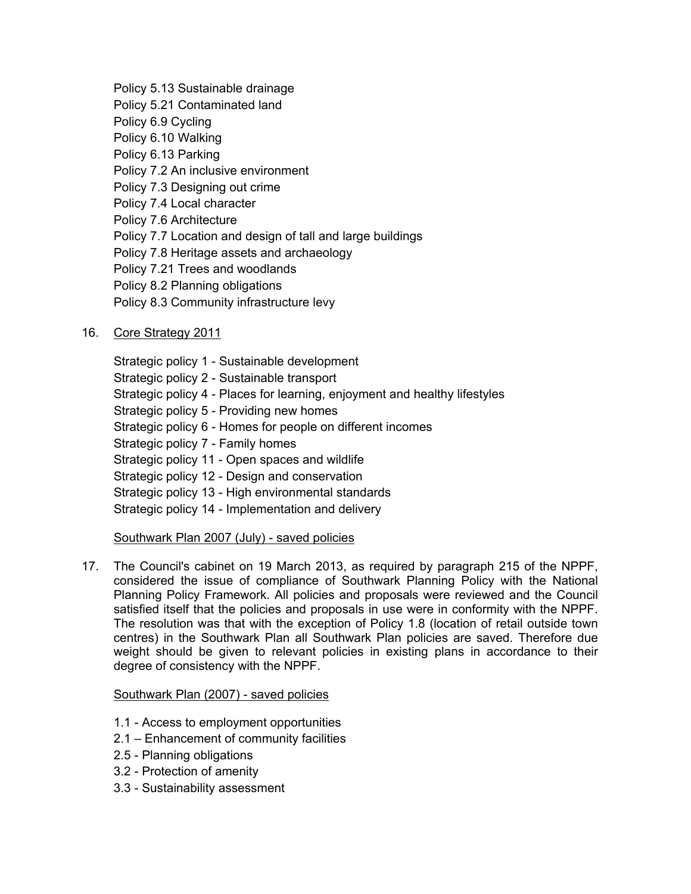Policy 5.13 Sustainable drainage Policy 5.21 Contaminated land Policy 6.9 Cycling Policy 6.10 Walking Policy 6.13 Parking Policy 7.2 An inclusive environment Policy 7.3 Designing out crime Policy 7.4 Local character Policy 7.6 Architecture Policy 7.7 Location and design of tall and large buildings Policy 7.8 Heritage assets and archaeology Policy 7.21 Trees and woodlands Policy 8.2 Planning obligations Policy 8.3 Community infrastructure levy

# 16. Core Strategy 2011

Strategic policy 1 - Sustainable development Strategic policy 2 - Sustainable transport Strategic policy 4 - Places for learning, enjoyment and healthy lifestyles Strategic policy 5 - Providing new homes Strategic policy 6 - Homes for people on different incomes Strategic policy 7 - Family homes Strategic policy 11 - Open spaces and wildlife Strategic policy 12 - Design and conservation Strategic policy 13 - High environmental standards Strategic policy 14 - Implementation and delivery

## Southwark Plan 2007 (July) - saved policies

17. The Council's cabinet on 19 March 2013, as required by paragraph 215 of the NPPF, considered the issue of compliance of Southwark Planning Policy with the National Planning Policy Framework. All policies and proposals were reviewed and the Council satisfied itself that the policies and proposals in use were in conformity with the NPPF. The resolution was that with the exception of Policy 1.8 (location of retail outside town centres) in the Southwark Plan all Southwark Plan policies are saved. Therefore due weight should be given to relevant policies in existing plans in accordance to their degree of consistency with the NPPF.

## Southwark Plan (2007) - saved policies

- 1.1 Access to employment opportunities
- 2.1 Enhancement of community facilities
- 2.5 Planning obligations
- 3.2 Protection of amenity
- 3.3 Sustainability assessment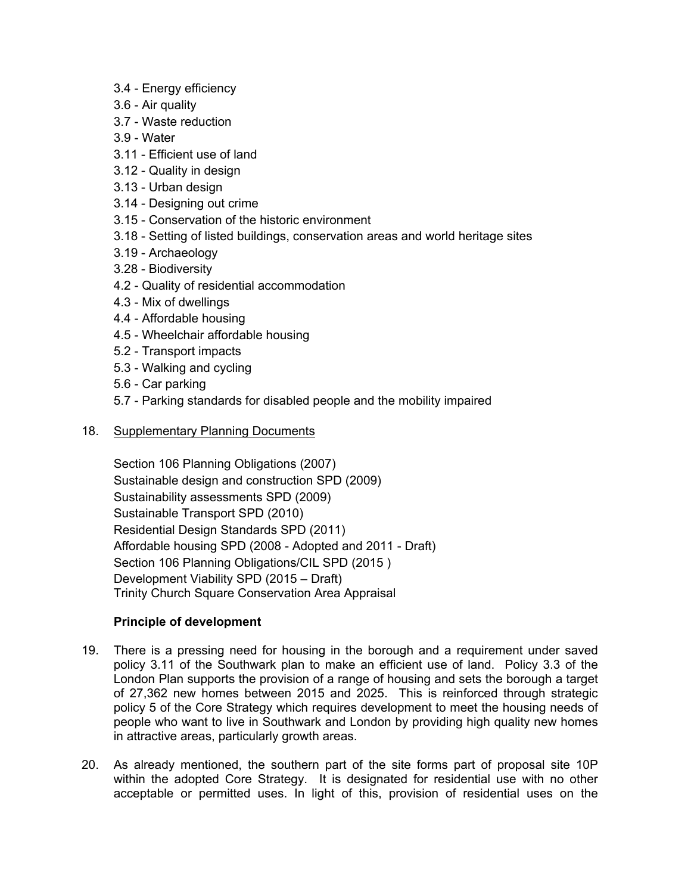- 3.4 Energy efficiency
- 3.6 Air quality
- 3.7 Waste reduction
- 3.9 Water
- 3.11 Efficient use of land
- 3.12 Quality in design
- 3.13 Urban design
- 3.14 Designing out crime
- 3.15 Conservation of the historic environment
- 3.18 Setting of listed buildings, conservation areas and world heritage sites
- 3.19 Archaeology
- 3.28 Biodiversity
- 4.2 Quality of residential accommodation
- 4.3 Mix of dwellings
- 4.4 Affordable housing
- 4.5 Wheelchair affordable housing
- 5.2 Transport impacts
- 5.3 Walking and cycling
- 5.6 Car parking
- 5.7 Parking standards for disabled people and the mobility impaired
- 18. Supplementary Planning Documents

Section 106 Planning Obligations (2007) Sustainable design and construction SPD (2009) Sustainability assessments SPD (2009) Sustainable Transport SPD (2010) Residential Design Standards SPD (2011) Affordable housing SPD (2008 - Adopted and 2011 - Draft) Section 106 Planning Obligations/CIL SPD (2015 ) Development Viability SPD (2015 – Draft) Trinity Church Square Conservation Area Appraisal

## **Principle of development**

- 19. There is a pressing need for housing in the borough and a requirement under saved policy 3.11 of the Southwark plan to make an efficient use of land. Policy 3.3 of the London Plan supports the provision of a range of housing and sets the borough a target of 27,362 new homes between 2015 and 2025. This is reinforced through strategic policy 5 of the Core Strategy which requires development to meet the housing needs of people who want to live in Southwark and London by providing high quality new homes in attractive areas, particularly growth areas.
- 20. As already mentioned, the southern part of the site forms part of proposal site 10P within the adopted Core Strategy. It is designated for residential use with no other acceptable or permitted uses. In light of this, provision of residential uses on the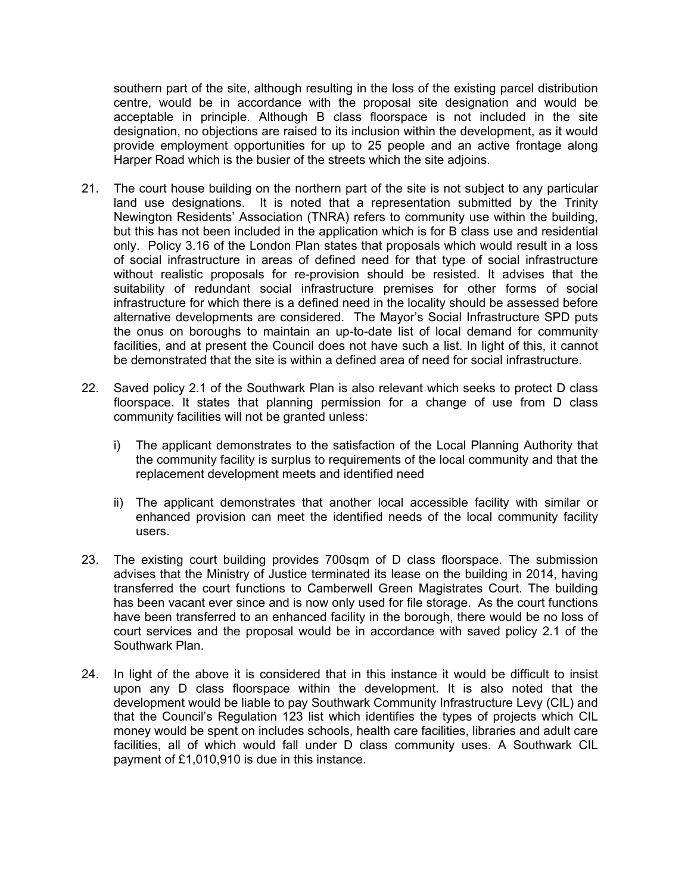southern part of the site, although resulting in the loss of the existing parcel distribution centre, would be in accordance with the proposal site designation and would be acceptable in principle. Although B class floorspace is not included in the site designation, no objections are raised to its inclusion within the development, as it would provide employment opportunities for up to 25 people and an active frontage along Harper Road which is the busier of the streets which the site adjoins.

- 21. The court house building on the northern part of the site is not subject to any particular land use designations. It is noted that a representation submitted by the Trinity Newington Residents' Association (TNRA) refers to community use within the building, but this has not been included in the application which is for B class use and residential only. Policy 3.16 of the London Plan states that proposals which would result in a loss of social infrastructure in areas of defined need for that type of social infrastructure without realistic proposals for re-provision should be resisted. It advises that the suitability of redundant social infrastructure premises for other forms of social infrastructure for which there is a defined need in the locality should be assessed before alternative developments are considered. The Mayor's Social Infrastructure SPD puts the onus on boroughs to maintain an up-to-date list of local demand for community facilities, and at present the Council does not have such a list. In light of this, it cannot be demonstrated that the site is within a defined area of need for social infrastructure.
- 22. Saved policy 2.1 of the Southwark Plan is also relevant which seeks to protect D class floorspace. It states that planning permission for a change of use from D class community facilities will not be granted unless:
	- i) The applicant demonstrates to the satisfaction of the Local Planning Authority that the community facility is surplus to requirements of the local community and that the replacement development meets and identified need
	- ii) The applicant demonstrates that another local accessible facility with similar or enhanced provision can meet the identified needs of the local community facility users.
- 23. The existing court building provides 700sqm of D class floorspace. The submission advises that the Ministry of Justice terminated its lease on the building in 2014, having transferred the court functions to Camberwell Green Magistrates Court. The building has been vacant ever since and is now only used for file storage. As the court functions have been transferred to an enhanced facility in the borough, there would be no loss of court services and the proposal would be in accordance with saved policy 2.1 of the Southwark Plan.
- 24. In light of the above it is considered that in this instance it would be difficult to insist upon any D class floorspace within the development. It is also noted that the development would be liable to pay Southwark Community Infrastructure Levy (CIL) and that the Council's Regulation 123 list which identifies the types of projects which CIL money would be spent on includes schools, health care facilities, libraries and adult care facilities, all of which would fall under D class community uses. A Southwark CIL payment of £1,010,910 is due in this instance.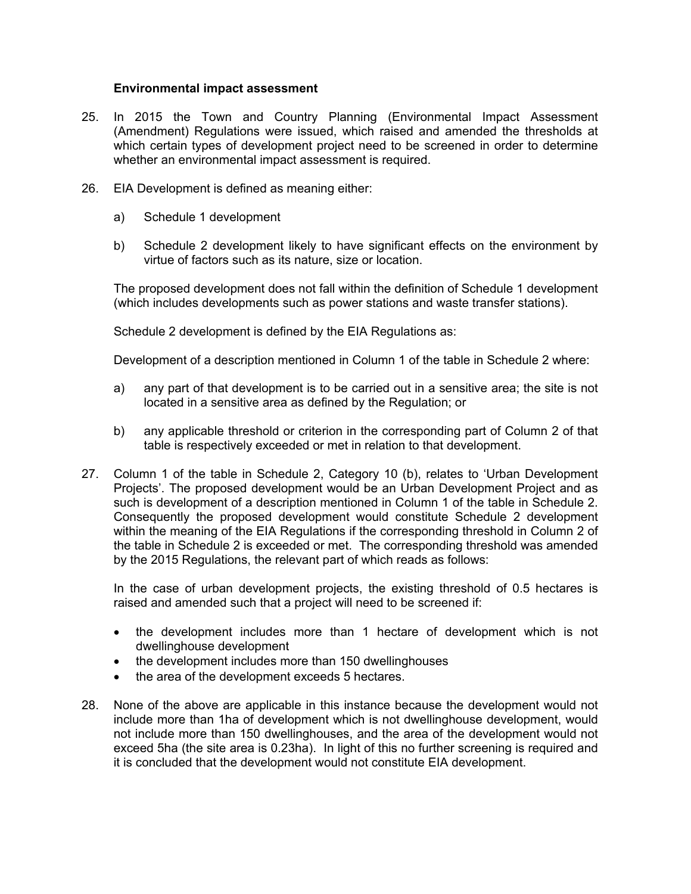#### **Environmental impact assessment**

- 25. In 2015 the Town and Country Planning (Environmental Impact Assessment (Amendment) Regulations were issued, which raised and amended the thresholds at which certain types of development project need to be screened in order to determine whether an environmental impact assessment is required.
- 26. EIA Development is defined as meaning either:
	- a) Schedule 1 development
	- b) Schedule 2 development likely to have significant effects on the environment by virtue of factors such as its nature, size or location.

The proposed development does not fall within the definition of Schedule 1 development (which includes developments such as power stations and waste transfer stations).

Schedule 2 development is defined by the EIA Regulations as:

Development of a description mentioned in Column 1 of the table in Schedule 2 where:

- a) any part of that development is to be carried out in a sensitive area; the site is not located in a sensitive area as defined by the Regulation; or
- b) any applicable threshold or criterion in the corresponding part of Column 2 of that table is respectively exceeded or met in relation to that development.
- 27. Column 1 of the table in Schedule 2, Category 10 (b), relates to 'Urban Development Projects'. The proposed development would be an Urban Development Project and as such is development of a description mentioned in Column 1 of the table in Schedule 2. Consequently the proposed development would constitute Schedule 2 development within the meaning of the EIA Regulations if the corresponding threshold in Column 2 of the table in Schedule 2 is exceeded or met. The corresponding threshold was amended by the 2015 Regulations, the relevant part of which reads as follows:

In the case of urban development projects, the existing threshold of 0.5 hectares is raised and amended such that a project will need to be screened if:

- the development includes more than 1 hectare of development which is not dwellinghouse development
- the development includes more than 150 dwellinghouses
- the area of the development exceeds 5 hectares.
- 28. None of the above are applicable in this instance because the development would not include more than 1ha of development which is not dwellinghouse development, would not include more than 150 dwellinghouses, and the area of the development would not exceed 5ha (the site area is 0.23ha). In light of this no further screening is required and it is concluded that the development would not constitute EIA development.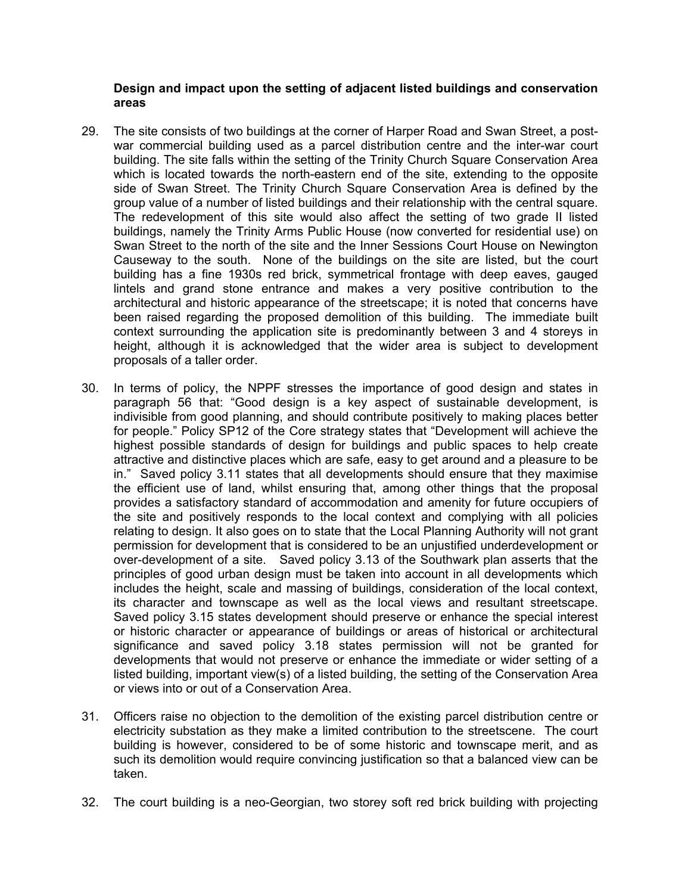## **Design and impact upon the setting of adjacent listed buildings and conservation areas**

- 29. The site consists of two buildings at the corner of Harper Road and Swan Street, a postwar commercial building used as a parcel distribution centre and the inter-war court building. The site falls within the setting of the Trinity Church Square Conservation Area which is located towards the north-eastern end of the site, extending to the opposite side of Swan Street. The Trinity Church Square Conservation Area is defined by the group value of a number of listed buildings and their relationship with the central square. The redevelopment of this site would also affect the setting of two grade II listed buildings, namely the Trinity Arms Public House (now converted for residential use) on Swan Street to the north of the site and the Inner Sessions Court House on Newington Causeway to the south. None of the buildings on the site are listed, but the court building has a fine 1930s red brick, symmetrical frontage with deep eaves, gauged lintels and grand stone entrance and makes a very positive contribution to the architectural and historic appearance of the streetscape; it is noted that concerns have been raised regarding the proposed demolition of this building. The immediate built context surrounding the application site is predominantly between 3 and 4 storeys in height, although it is acknowledged that the wider area is subject to development proposals of a taller order.
- 30. In terms of policy, the NPPF stresses the importance of good design and states in paragraph 56 that: "Good design is a key aspect of sustainable development, is indivisible from good planning, and should contribute positively to making places better for people." Policy SP12 of the Core strategy states that "Development will achieve the highest possible standards of design for buildings and public spaces to help create attractive and distinctive places which are safe, easy to get around and a pleasure to be in." Saved policy 3.11 states that all developments should ensure that they maximise the efficient use of land, whilst ensuring that, among other things that the proposal provides a satisfactory standard of accommodation and amenity for future occupiers of the site and positively responds to the local context and complying with all policies relating to design. It also goes on to state that the Local Planning Authority will not grant permission for development that is considered to be an unjustified underdevelopment or over-development of a site. Saved policy 3.13 of the Southwark plan asserts that the principles of good urban design must be taken into account in all developments which includes the height, scale and massing of buildings, consideration of the local context, its character and townscape as well as the local views and resultant streetscape. Saved policy 3.15 states development should preserve or enhance the special interest or historic character or appearance of buildings or areas of historical or architectural significance and saved policy 3.18 states permission will not be granted for developments that would not preserve or enhance the immediate or wider setting of a listed building, important view(s) of a listed building, the setting of the Conservation Area or views into or out of a Conservation Area.
- 31. Officers raise no objection to the demolition of the existing parcel distribution centre or electricity substation as they make a limited contribution to the streetscene. The court building is however, considered to be of some historic and townscape merit, and as such its demolition would require convincing justification so that a balanced view can be taken.
- 32. The court building is a neo-Georgian, two storey soft red brick building with projecting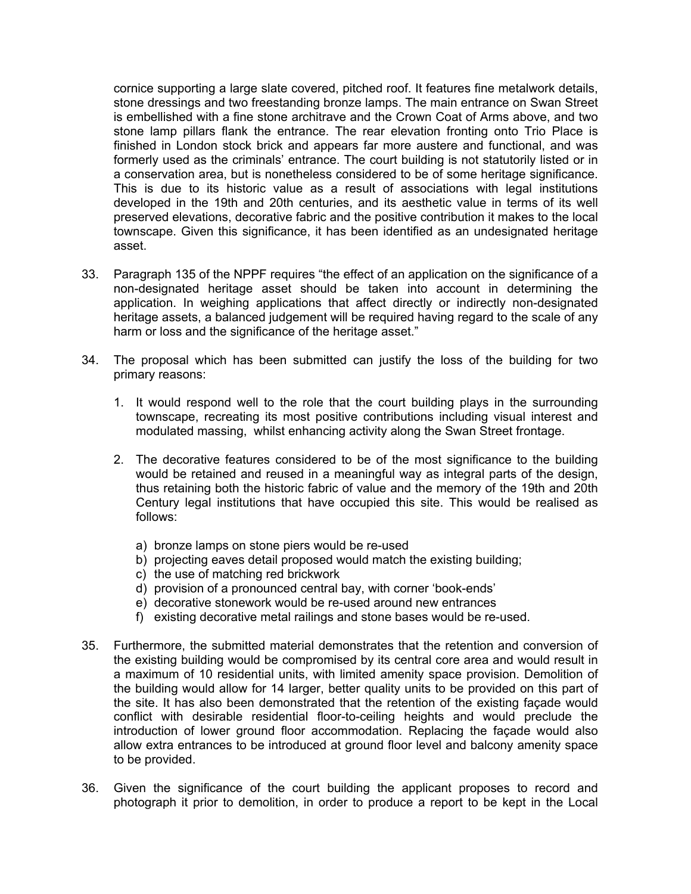cornice supporting a large slate covered, pitched roof. It features fine metalwork details, stone dressings and two freestanding bronze lamps. The main entrance on Swan Street is embellished with a fine stone architrave and the Crown Coat of Arms above, and two stone lamp pillars flank the entrance. The rear elevation fronting onto Trio Place is finished in London stock brick and appears far more austere and functional, and was formerly used as the criminals' entrance. The court building is not statutorily listed or in a conservation area, but is nonetheless considered to be of some heritage significance. This is due to its historic value as a result of associations with legal institutions developed in the 19th and 20th centuries, and its aesthetic value in terms of its well preserved elevations, decorative fabric and the positive contribution it makes to the local townscape. Given this significance, it has been identified as an undesignated heritage asset.

- 33. Paragraph 135 of the NPPF requires "the effect of an application on the significance of a non-designated heritage asset should be taken into account in determining the application. In weighing applications that affect directly or indirectly non-designated heritage assets, a balanced judgement will be required having regard to the scale of any harm or loss and the significance of the heritage asset."
- 34. The proposal which has been submitted can justify the loss of the building for two primary reasons:
	- 1. It would respond well to the role that the court building plays in the surrounding townscape, recreating its most positive contributions including visual interest and modulated massing, whilst enhancing activity along the Swan Street frontage.
	- 2. The decorative features considered to be of the most significance to the building would be retained and reused in a meaningful way as integral parts of the design, thus retaining both the historic fabric of value and the memory of the 19th and 20th Century legal institutions that have occupied this site. This would be realised as follows:
		- a) bronze lamps on stone piers would be re-used
		- b) projecting eaves detail proposed would match the existing building;
		- c) the use of matching red brickwork
		- d) provision of a pronounced central bay, with corner 'book-ends'
		- e) decorative stonework would be re-used around new entrances
		- f) existing decorative metal railings and stone bases would be re-used.
- 35. Furthermore, the submitted material demonstrates that the retention and conversion of the existing building would be compromised by its central core area and would result in a maximum of 10 residential units, with limited amenity space provision. Demolition of the building would allow for 14 larger, better quality units to be provided on this part of the site. It has also been demonstrated that the retention of the existing façade would conflict with desirable residential floor-to-ceiling heights and would preclude the introduction of lower ground floor accommodation. Replacing the façade would also allow extra entrances to be introduced at ground floor level and balcony amenity space to be provided.
- 36. Given the significance of the court building the applicant proposes to record and photograph it prior to demolition, in order to produce a report to be kept in the Local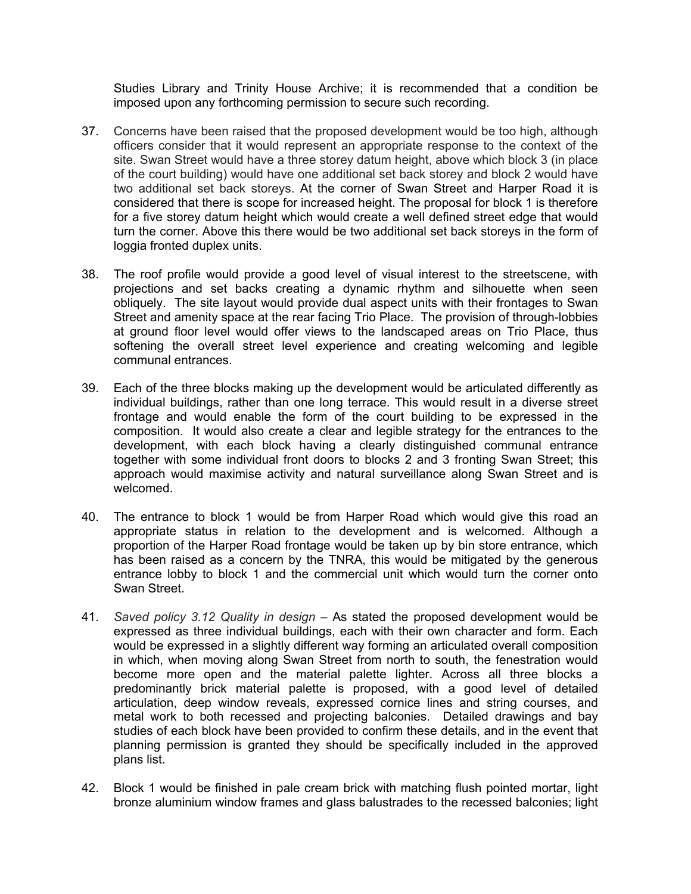Studies Library and Trinity House Archive; it is recommended that a condition be imposed upon any forthcoming permission to secure such recording.

- 37. Concerns have been raised that the proposed development would be too high, although officers consider that it would represent an appropriate response to the context of the site. Swan Street would have a three storey datum height, above which block 3 (in place of the court building) would have one additional set back storey and block 2 would have two additional set back storeys. At the corner of Swan Street and Harper Road it is considered that there is scope for increased height. The proposal for block 1 is therefore for a five storey datum height which would create a well defined street edge that would turn the corner. Above this there would be two additional set back storeys in the form of loggia fronted duplex units.
- 38. The roof profile would provide a good level of visual interest to the streetscene, with projections and set backs creating a dynamic rhythm and silhouette when seen obliquely. The site layout would provide dual aspect units with their frontages to Swan Street and amenity space at the rear facing Trio Place. The provision of through-lobbies at ground floor level would offer views to the landscaped areas on Trio Place, thus softening the overall street level experience and creating welcoming and legible communal entrances.
- 39. Each of the three blocks making up the development would be articulated differently as individual buildings, rather than one long terrace. This would result in a diverse street frontage and would enable the form of the court building to be expressed in the composition. It would also create a clear and legible strategy for the entrances to the development, with each block having a clearly distinguished communal entrance together with some individual front doors to blocks 2 and 3 fronting Swan Street; this approach would maximise activity and natural surveillance along Swan Street and is welcomed.
- 40. The entrance to block 1 would be from Harper Road which would give this road an appropriate status in relation to the development and is welcomed. Although a proportion of the Harper Road frontage would be taken up by bin store entrance, which has been raised as a concern by the TNRA, this would be mitigated by the generous entrance lobby to block 1 and the commercial unit which would turn the corner onto Swan Street.
- 41. *Saved policy 3.12 Quality in design –* As stated the proposed development would be expressed as three individual buildings, each with their own character and form. Each would be expressed in a slightly different way forming an articulated overall composition in which, when moving along Swan Street from north to south, the fenestration would become more open and the material palette lighter. Across all three blocks a predominantly brick material palette is proposed, with a good level of detailed articulation, deep window reveals, expressed cornice lines and string courses, and metal work to both recessed and projecting balconies. Detailed drawings and bay studies of each block have been provided to confirm these details, and in the event that planning permission is granted they should be specifically included in the approved plans list.
- 42. Block 1 would be finished in pale cream brick with matching flush pointed mortar, light bronze aluminium window frames and glass balustrades to the recessed balconies; light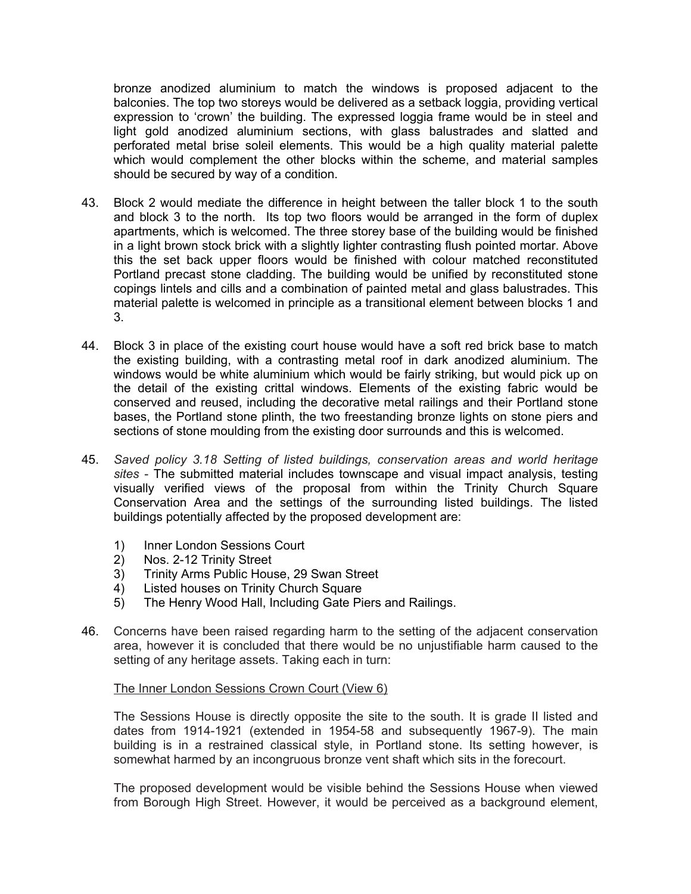bronze anodized aluminium to match the windows is proposed adjacent to the balconies. The top two storeys would be delivered as a setback loggia, providing vertical expression to 'crown' the building. The expressed loggia frame would be in steel and light gold anodized aluminium sections, with glass balustrades and slatted and perforated metal brise soleil elements. This would be a high quality material palette which would complement the other blocks within the scheme, and material samples should be secured by way of a condition.

- 43. Block 2 would mediate the difference in height between the taller block 1 to the south and block 3 to the north. Its top two floors would be arranged in the form of duplex apartments, which is welcomed. The three storey base of the building would be finished in a light brown stock brick with a slightly lighter contrasting flush pointed mortar. Above this the set back upper floors would be finished with colour matched reconstituted Portland precast stone cladding. The building would be unified by reconstituted stone copings lintels and cills and a combination of painted metal and glass balustrades. This material palette is welcomed in principle as a transitional element between blocks 1 and 3.
- 44. Block 3 in place of the existing court house would have a soft red brick base to match the existing building, with a contrasting metal roof in dark anodized aluminium. The windows would be white aluminium which would be fairly striking, but would pick up on the detail of the existing crittal windows. Elements of the existing fabric would be conserved and reused, including the decorative metal railings and their Portland stone bases, the Portland stone plinth, the two freestanding bronze lights on stone piers and sections of stone moulding from the existing door surrounds and this is welcomed.
- 45. *Saved policy 3.18 Setting of listed buildings, conservation areas and world heritage sites* - The submitted material includes townscape and visual impact analysis, testing visually verified views of the proposal from within the Trinity Church Square Conservation Area and the settings of the surrounding listed buildings. The listed buildings potentially affected by the proposed development are:
	- 1) Inner London Sessions Court
	- 2) Nos. 2-12 Trinity Street<br>3) Trinity Arms Public Hous
	- 3) Trinity Arms Public House, 29 Swan Street
	- 4) Listed houses on Trinity Church Square
	- 5) The Henry Wood Hall, Including Gate Piers and Railings.
- 46. Concerns have been raised regarding harm to the setting of the adjacent conservation area, however it is concluded that there would be no unjustifiable harm caused to the setting of any heritage assets. Taking each in turn:

#### The Inner London Sessions Crown Court (View 6)

The Sessions House is directly opposite the site to the south. It is grade II listed and dates from 1914-1921 (extended in 1954-58 and subsequently 1967-9). The main building is in a restrained classical style, in Portland stone. Its setting however, is somewhat harmed by an incongruous bronze vent shaft which sits in the forecourt.

The proposed development would be visible behind the Sessions House when viewed from Borough High Street. However, it would be perceived as a background element,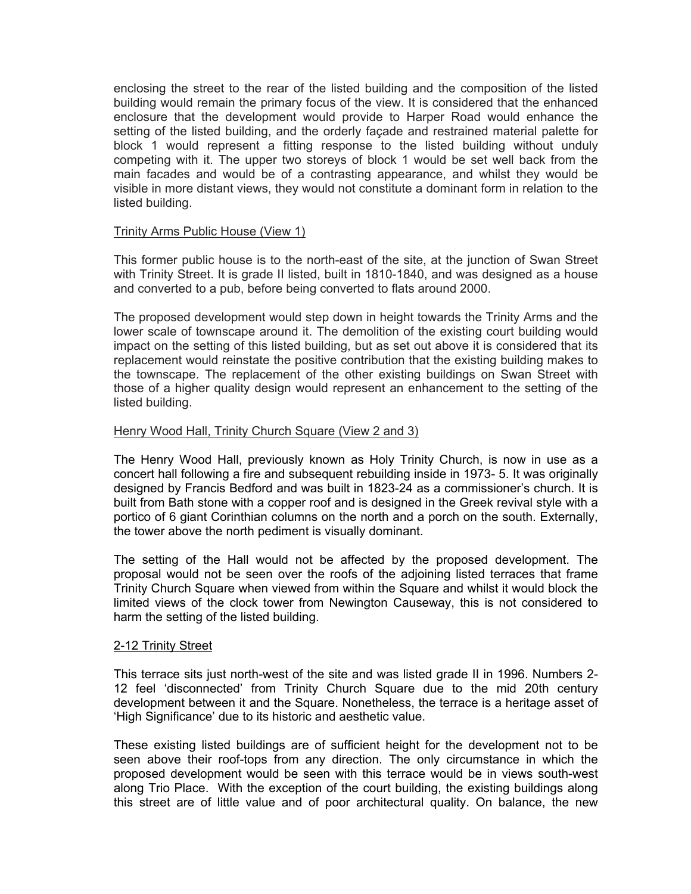enclosing the street to the rear of the listed building and the composition of the listed building would remain the primary focus of the view. It is considered that the enhanced enclosure that the development would provide to Harper Road would enhance the setting of the listed building, and the orderly façade and restrained material palette for block 1 would represent a fitting response to the listed building without unduly competing with it. The upper two storeys of block 1 would be set well back from the main facades and would be of a contrasting appearance, and whilst they would be visible in more distant views, they would not constitute a dominant form in relation to the listed building.

#### Trinity Arms Public House (View 1)

This former public house is to the north-east of the site, at the junction of Swan Street with Trinity Street. It is grade II listed, built in 1810-1840, and was designed as a house and converted to a pub, before being converted to flats around 2000.

The proposed development would step down in height towards the Trinity Arms and the lower scale of townscape around it. The demolition of the existing court building would impact on the setting of this listed building, but as set out above it is considered that its replacement would reinstate the positive contribution that the existing building makes to the townscape. The replacement of the other existing buildings on Swan Street with those of a higher quality design would represent an enhancement to the setting of the listed building.

## Henry Wood Hall, Trinity Church Square (View 2 and 3)

The Henry Wood Hall, previously known as Holy Trinity Church, is now in use as a concert hall following a fire and subsequent rebuilding inside in 1973- 5. It was originally designed by Francis Bedford and was built in 1823-24 as a commissioner's church. It is built from Bath stone with a copper roof and is designed in the Greek revival style with a portico of 6 giant Corinthian columns on the north and a porch on the south. Externally, the tower above the north pediment is visually dominant.

The setting of the Hall would not be affected by the proposed development. The proposal would not be seen over the roofs of the adjoining listed terraces that frame Trinity Church Square when viewed from within the Square and whilst it would block the limited views of the clock tower from Newington Causeway, this is not considered to harm the setting of the listed building.

#### 2-12 Trinity Street

This terrace sits just north-west of the site and was listed grade II in 1996. Numbers 2- 12 feel 'disconnected' from Trinity Church Square due to the mid 20th century development between it and the Square. Nonetheless, the terrace is a heritage asset of 'High Significance' due to its historic and aesthetic value.

These existing listed buildings are of sufficient height for the development not to be seen above their roof-tops from any direction. The only circumstance in which the proposed development would be seen with this terrace would be in views south-west along Trio Place. With the exception of the court building, the existing buildings along this street are of little value and of poor architectural quality. On balance, the new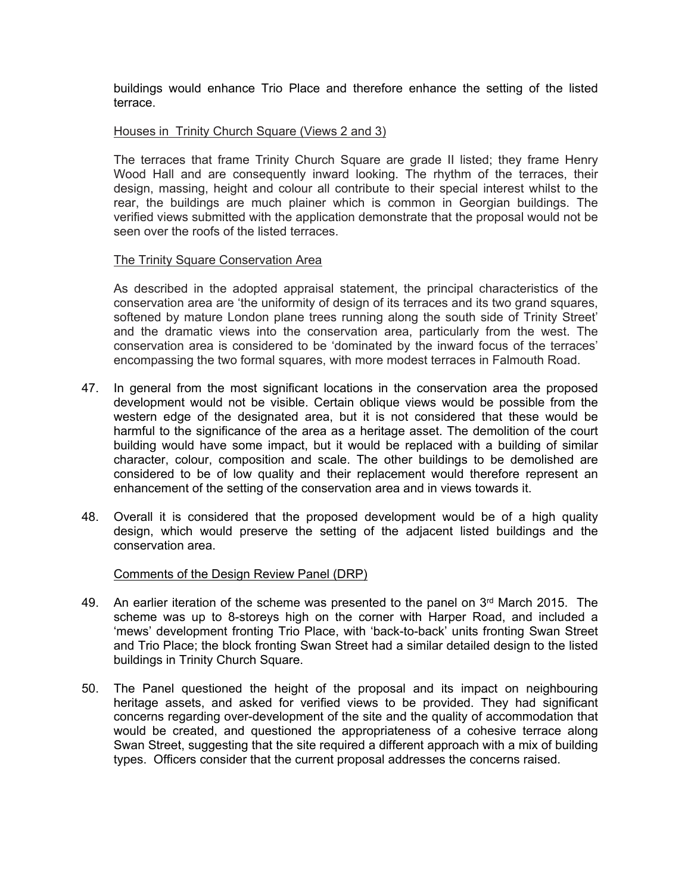buildings would enhance Trio Place and therefore enhance the setting of the listed terrace.

#### Houses in Trinity Church Square (Views 2 and 3)

The terraces that frame Trinity Church Square are grade II listed; they frame Henry Wood Hall and are consequently inward looking. The rhythm of the terraces, their design, massing, height and colour all contribute to their special interest whilst to the rear, the buildings are much plainer which is common in Georgian buildings. The verified views submitted with the application demonstrate that the proposal would not be seen over the roofs of the listed terraces.

#### The Trinity Square Conservation Area

As described in the adopted appraisal statement, the principal characteristics of the conservation area are 'the uniformity of design of its terraces and its two grand squares, softened by mature London plane trees running along the south side of Trinity Street' and the dramatic views into the conservation area, particularly from the west. The conservation area is considered to be 'dominated by the inward focus of the terraces' encompassing the two formal squares, with more modest terraces in Falmouth Road.

- 47. In general from the most significant locations in the conservation area the proposed development would not be visible. Certain oblique views would be possible from the western edge of the designated area, but it is not considered that these would be harmful to the significance of the area as a heritage asset. The demolition of the court building would have some impact, but it would be replaced with a building of similar character, colour, composition and scale. The other buildings to be demolished are considered to be of low quality and their replacement would therefore represent an enhancement of the setting of the conservation area and in views towards it.
- 48. Overall it is considered that the proposed development would be of a high quality design, which would preserve the setting of the adjacent listed buildings and the conservation area.

## Comments of the Design Review Panel (DRP)

- 49. An earlier iteration of the scheme was presented to the panel on  $3<sup>rd</sup>$  March 2015. The scheme was up to 8-storeys high on the corner with Harper Road, and included a 'mews' development fronting Trio Place, with 'back-to-back' units fronting Swan Street and Trio Place; the block fronting Swan Street had a similar detailed design to the listed buildings in Trinity Church Square.
- 50. The Panel questioned the height of the proposal and its impact on neighbouring heritage assets, and asked for verified views to be provided. They had significant concerns regarding over-development of the site and the quality of accommodation that would be created, and questioned the appropriateness of a cohesive terrace along Swan Street, suggesting that the site required a different approach with a mix of building types. Officers consider that the current proposal addresses the concerns raised.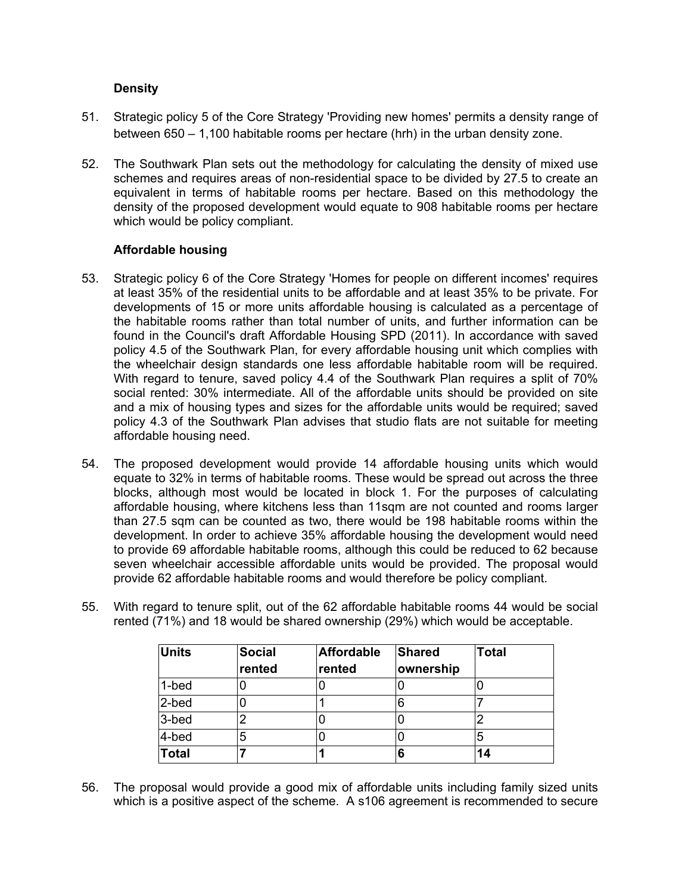## **Density**

- 51. Strategic policy 5 of the Core Strategy 'Providing new homes' permits a density range of between 650 – 1,100 habitable rooms per hectare (hrh) in the urban density zone.
- 52. The Southwark Plan sets out the methodology for calculating the density of mixed use schemes and requires areas of non-residential space to be divided by 27.5 to create an equivalent in terms of habitable rooms per hectare. Based on this methodology the density of the proposed development would equate to 908 habitable rooms per hectare which would be policy compliant.

## **Affordable housing**

- 53. Strategic policy 6 of the Core Strategy 'Homes for people on different incomes' requires at least 35% of the residential units to be affordable and at least 35% to be private. For developments of 15 or more units affordable housing is calculated as a percentage of the habitable rooms rather than total number of units, and further information can be found in the Council's draft Affordable Housing SPD (2011). In accordance with saved policy 4.5 of the Southwark Plan, for every affordable housing unit which complies with the wheelchair design standards one less affordable habitable room will be required. With regard to tenure, saved policy 4.4 of the Southwark Plan requires a split of 70% social rented: 30% intermediate. All of the affordable units should be provided on site and a mix of housing types and sizes for the affordable units would be required; saved policy 4.3 of the Southwark Plan advises that studio flats are not suitable for meeting affordable housing need.
- 54. The proposed development would provide 14 affordable housing units which would equate to 32% in terms of habitable rooms. These would be spread out across the three blocks, although most would be located in block 1. For the purposes of calculating affordable housing, where kitchens less than 11sqm are not counted and rooms larger than 27.5 sqm can be counted as two, there would be 198 habitable rooms within the development. In order to achieve 35% affordable housing the development would need to provide 69 affordable habitable rooms, although this could be reduced to 62 because seven wheelchair accessible affordable units would be provided. The proposal would provide 62 affordable habitable rooms and would therefore be policy compliant.
- 55. With regard to tenure split, out of the 62 affordable habitable rooms 44 would be social rented (71%) and 18 would be shared ownership (29%) which would be acceptable.

| <b>Units</b> | <b>Social</b><br>rented | <b>Affordable</b><br>rented | Shared<br>ownership | <b>Total</b> |
|--------------|-------------------------|-----------------------------|---------------------|--------------|
| 1-bed        |                         |                             |                     |              |
| 2-bed        |                         |                             | 6                   |              |
| 3-bed        | ⌒                       |                             |                     | ◠            |
| 4-bed        | 5                       |                             |                     | 5            |
| <b>Total</b> |                         |                             | 6                   | 14           |

56. The proposal would provide a good mix of affordable units including family sized units which is a positive aspect of the scheme. A s106 agreement is recommended to secure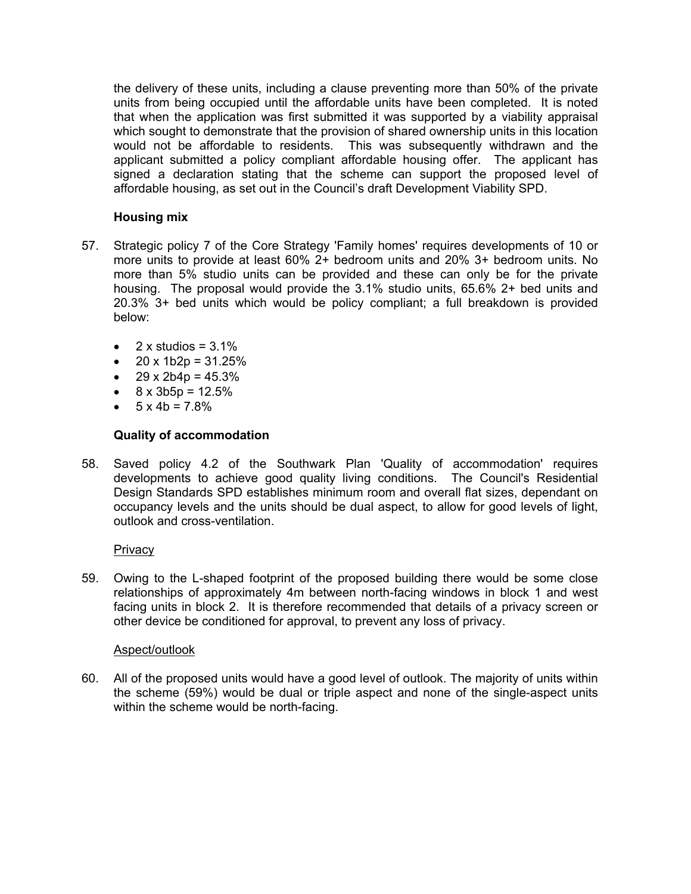the delivery of these units, including a clause preventing more than 50% of the private units from being occupied until the affordable units have been completed. It is noted that when the application was first submitted it was supported by a viability appraisal which sought to demonstrate that the provision of shared ownership units in this location would not be affordable to residents. This was subsequently withdrawn and the applicant submitted a policy compliant affordable housing offer. The applicant has signed a declaration stating that the scheme can support the proposed level of affordable housing, as set out in the Council's draft Development Viability SPD.

# **Housing mix**

- 57. Strategic policy 7 of the Core Strategy 'Family homes' requires developments of 10 or more units to provide at least 60% 2+ bedroom units and 20% 3+ bedroom units. No more than 5% studio units can be provided and these can only be for the private housing. The proposal would provide the 3.1% studio units, 65.6% 2+ bed units and 20.3% 3+ bed units which would be policy compliant; a full breakdown is provided below:
	- $\bullet$  2 x studios = 3.1%
	- $20 \times 1b2p = 31.25%$
	- $\bullet$  29 x 2b4p = 45.3%
	- $8 \times 3b5p = 12.5%$
	- $-5 \times 4b = 7.8\%$

## **Quality of accommodation**

58. Saved policy 4.2 of the Southwark Plan 'Quality of accommodation' requires developments to achieve good quality living conditions. The Council's Residential Design Standards SPD establishes minimum room and overall flat sizes, dependant on occupancy levels and the units should be dual aspect, to allow for good levels of light, outlook and cross-ventilation.

## **Privacy**

59. Owing to the L-shaped footprint of the proposed building there would be some close relationships of approximately 4m between north-facing windows in block 1 and west facing units in block 2. It is therefore recommended that details of a privacy screen or other device be conditioned for approval, to prevent any loss of privacy.

#### Aspect/outlook

60. All of the proposed units would have a good level of outlook. The majority of units within the scheme (59%) would be dual or triple aspect and none of the single-aspect units within the scheme would be north-facing.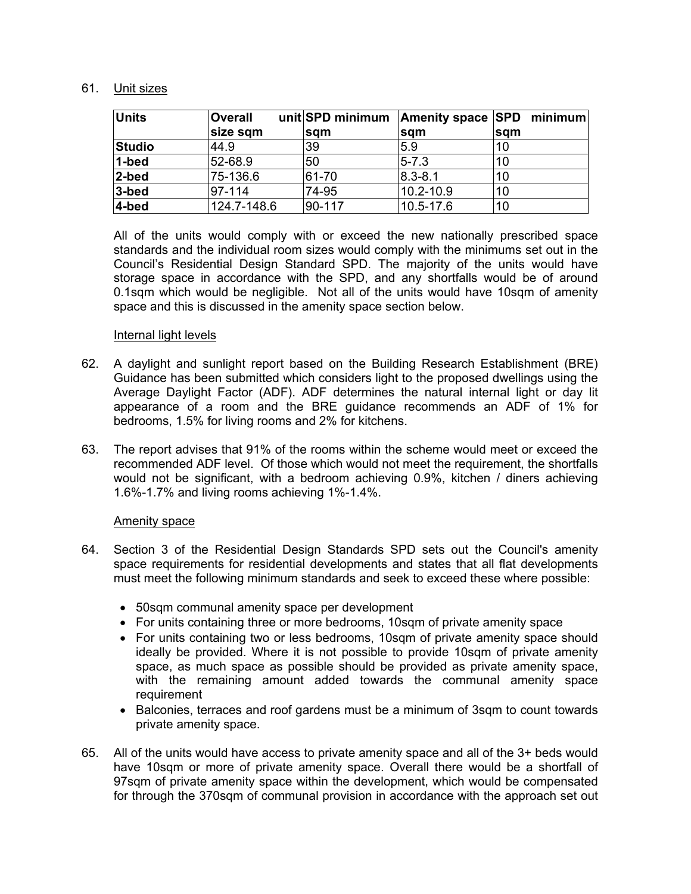## 61. Unit sizes

| Units     | <b>Overall</b> | unit SPD minimum |               | Amenity space SPD minimum |
|-----------|----------------|------------------|---------------|---------------------------|
|           | size sqm       | <b>sam</b>       | sqm           | <b>sam</b>                |
| Studio    | 44.9           | 39               | 5.9           | 10                        |
| $1$ -bed  | 52-68.9        | 50               | $5 - 7.3$     | 10                        |
| $2$ -bed  | 75-136.6       | 61-70            | $8.3 - 8.1$   | 10                        |
| $3 - bed$ | 97-114         | 74-95            | 10.2-10.9     | 10                        |
| $4 - bed$ | 124.7-148.6    | 90-117           | $10.5 - 17.6$ | 10                        |

All of the units would comply with or exceed the new nationally prescribed space standards and the individual room sizes would comply with the minimums set out in the Council's Residential Design Standard SPD. The majority of the units would have storage space in accordance with the SPD, and any shortfalls would be of around 0.1sqm which would be negligible. Not all of the units would have 10sqm of amenity space and this is discussed in the amenity space section below.

#### Internal light levels

- 62. A daylight and sunlight report based on the Building Research Establishment (BRE) Guidance has been submitted which considers light to the proposed dwellings using the Average Daylight Factor (ADF). ADF determines the natural internal light or day lit appearance of a room and the BRE guidance recommends an ADF of 1% for bedrooms, 1.5% for living rooms and 2% for kitchens.
- 63. The report advises that 91% of the rooms within the scheme would meet or exceed the recommended ADF level. Of those which would not meet the requirement, the shortfalls would not be significant, with a bedroom achieving 0.9%, kitchen / diners achieving 1.6%-1.7% and living rooms achieving 1%-1.4%.

#### Amenity space

- 64. Section 3 of the Residential Design Standards SPD sets out the Council's amenity space requirements for residential developments and states that all flat developments must meet the following minimum standards and seek to exceed these where possible:
	- 50sqm communal amenity space per development
	- For units containing three or more bedrooms, 10sqm of private amenity space
	- For units containing two or less bedrooms, 10sqm of private amenity space should ideally be provided. Where it is not possible to provide 10sqm of private amenity space, as much space as possible should be provided as private amenity space, with the remaining amount added towards the communal amenity space requirement
	- Balconies, terraces and roof gardens must be a minimum of 3sqm to count towards private amenity space.
- 65. All of the units would have access to private amenity space and all of the 3+ beds would have 10sqm or more of private amenity space. Overall there would be a shortfall of 97sqm of private amenity space within the development, which would be compensated for through the 370sqm of communal provision in accordance with the approach set out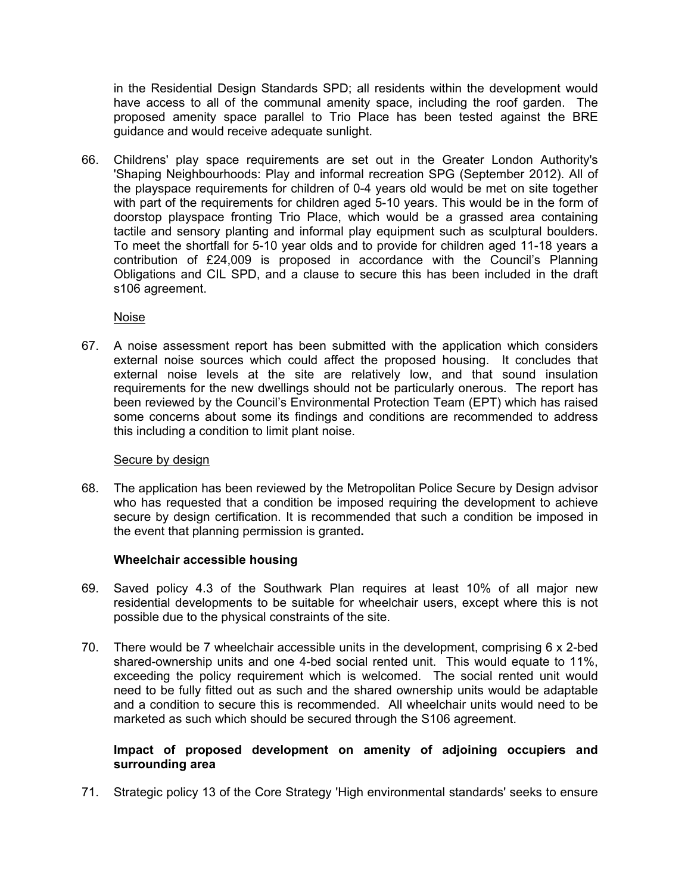in the Residential Design Standards SPD; all residents within the development would have access to all of the communal amenity space, including the roof garden. The proposed amenity space parallel to Trio Place has been tested against the BRE guidance and would receive adequate sunlight.

66. Childrens' play space requirements are set out in the Greater London Authority's 'Shaping Neighbourhoods: Play and informal recreation SPG (September 2012). All of the playspace requirements for children of 0-4 years old would be met on site together with part of the requirements for children aged 5-10 years. This would be in the form of doorstop playspace fronting Trio Place, which would be a grassed area containing tactile and sensory planting and informal play equipment such as sculptural boulders. To meet the shortfall for 5-10 year olds and to provide for children aged 11-18 years a contribution of £24,009 is proposed in accordance with the Council's Planning Obligations and CIL SPD, and a clause to secure this has been included in the draft s106 agreement.

Noise

67. A noise assessment report has been submitted with the application which considers external noise sources which could affect the proposed housing. It concludes that external noise levels at the site are relatively low, and that sound insulation requirements for the new dwellings should not be particularly onerous. The report has been reviewed by the Council's Environmental Protection Team (EPT) which has raised some concerns about some its findings and conditions are recommended to address this including a condition to limit plant noise.

## Secure by design

68. The application has been reviewed by the Metropolitan Police Secure by Design advisor who has requested that a condition be imposed requiring the development to achieve secure by design certification. It is recommended that such a condition be imposed in the event that planning permission is granted**.**

## **Wheelchair accessible housing**

- 69. Saved policy 4.3 of the Southwark Plan requires at least 10% of all major new residential developments to be suitable for wheelchair users, except where this is not possible due to the physical constraints of the site.
- 70. There would be 7 wheelchair accessible units in the development, comprising 6 x 2-bed shared-ownership units and one 4-bed social rented unit. This would equate to 11%, exceeding the policy requirement which is welcomed. The social rented unit would need to be fully fitted out as such and the shared ownership units would be adaptable and a condition to secure this is recommended. All wheelchair units would need to be marketed as such which should be secured through the S106 agreement.

## **Impact of proposed development on amenity of adjoining occupiers and surrounding area**

71. Strategic policy 13 of the Core Strategy 'High environmental standards' seeks to ensure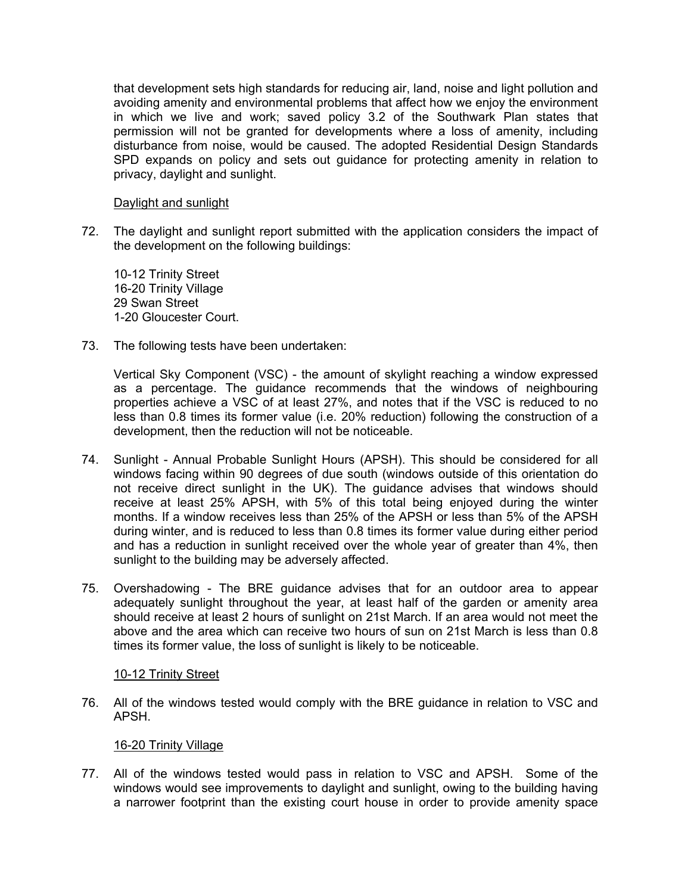that development sets high standards for reducing air, land, noise and light pollution and avoiding amenity and environmental problems that affect how we enjoy the environment in which we live and work; saved policy 3.2 of the Southwark Plan states that permission will not be granted for developments where a loss of amenity, including disturbance from noise, would be caused. The adopted Residential Design Standards SPD expands on policy and sets out guidance for protecting amenity in relation to privacy, daylight and sunlight.

## Daylight and sunlight

72. The daylight and sunlight report submitted with the application considers the impact of the development on the following buildings:

10-12 Trinity Street 16-20 Trinity Village 29 Swan Street 1-20 Gloucester Court.

73. The following tests have been undertaken:

Vertical Sky Component (VSC) - the amount of skylight reaching a window expressed as a percentage. The guidance recommends that the windows of neighbouring properties achieve a VSC of at least 27%, and notes that if the VSC is reduced to no less than 0.8 times its former value (i.e. 20% reduction) following the construction of a development, then the reduction will not be noticeable.

- 74. Sunlight Annual Probable Sunlight Hours (APSH). This should be considered for all windows facing within 90 degrees of due south (windows outside of this orientation do not receive direct sunlight in the UK). The guidance advises that windows should receive at least 25% APSH, with 5% of this total being enjoyed during the winter months. If a window receives less than 25% of the APSH or less than 5% of the APSH during winter, and is reduced to less than 0.8 times its former value during either period and has a reduction in sunlight received over the whole year of greater than 4%, then sunlight to the building may be adversely affected.
- 75. Overshadowing The BRE guidance advises that for an outdoor area to appear adequately sunlight throughout the year, at least half of the garden or amenity area should receive at least 2 hours of sunlight on 21st March. If an area would not meet the above and the area which can receive two hours of sun on 21st March is less than 0.8 times its former value, the loss of sunlight is likely to be noticeable.

#### 10-12 Trinity Street

76. All of the windows tested would comply with the BRE guidance in relation to VSC and APSH.

#### 16-20 Trinity Village

77. All of the windows tested would pass in relation to VSC and APSH. Some of the windows would see improvements to daylight and sunlight, owing to the building having a narrower footprint than the existing court house in order to provide amenity space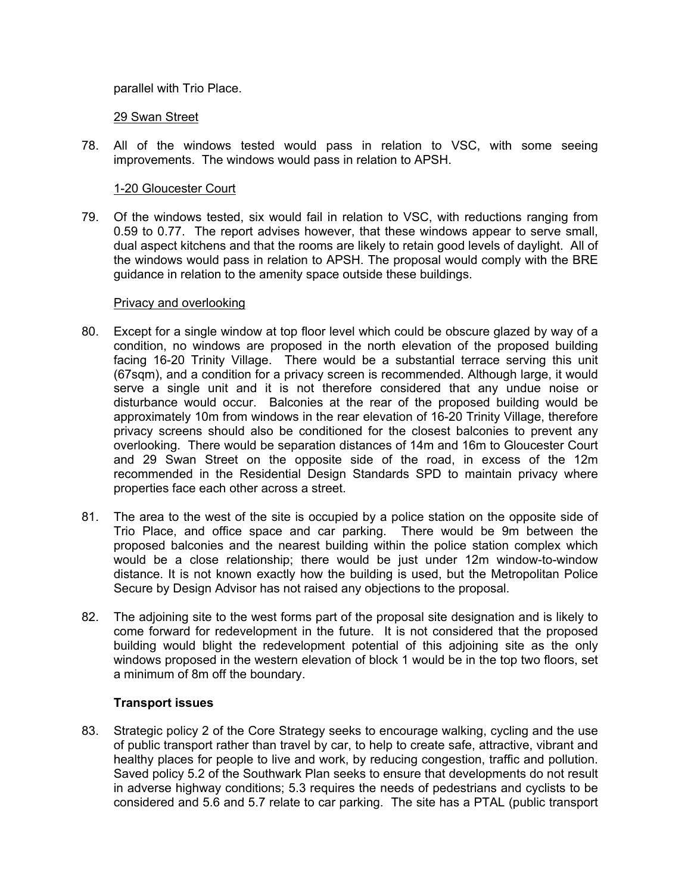parallel with Trio Place.

#### 29 Swan Street

78. All of the windows tested would pass in relation to VSC, with some seeing improvements. The windows would pass in relation to APSH.

## 1-20 Gloucester Court

79. Of the windows tested, six would fail in relation to VSC, with reductions ranging from 0.59 to 0.77. The report advises however, that these windows appear to serve small, dual aspect kitchens and that the rooms are likely to retain good levels of daylight. All of the windows would pass in relation to APSH. The proposal would comply with the BRE guidance in relation to the amenity space outside these buildings.

## Privacy and overlooking

- 80. Except for a single window at top floor level which could be obscure glazed by way of a condition, no windows are proposed in the north elevation of the proposed building facing 16-20 Trinity Village. There would be a substantial terrace serving this unit (67sqm), and a condition for a privacy screen is recommended. Although large, it would serve a single unit and it is not therefore considered that any undue noise or disturbance would occur. Balconies at the rear of the proposed building would be approximately 10m from windows in the rear elevation of 16-20 Trinity Village, therefore privacy screens should also be conditioned for the closest balconies to prevent any overlooking. There would be separation distances of 14m and 16m to Gloucester Court and 29 Swan Street on the opposite side of the road, in excess of the 12m recommended in the Residential Design Standards SPD to maintain privacy where properties face each other across a street.
- 81. The area to the west of the site is occupied by a police station on the opposite side of Trio Place, and office space and car parking. There would be 9m between the proposed balconies and the nearest building within the police station complex which would be a close relationship; there would be just under 12m window-to-window distance. It is not known exactly how the building is used, but the Metropolitan Police Secure by Design Advisor has not raised any objections to the proposal.
- 82. The adjoining site to the west forms part of the proposal site designation and is likely to come forward for redevelopment in the future. It is not considered that the proposed building would blight the redevelopment potential of this adjoining site as the only windows proposed in the western elevation of block 1 would be in the top two floors, set a minimum of 8m off the boundary.

## **Transport issues**

83. Strategic policy 2 of the Core Strategy seeks to encourage walking, cycling and the use of public transport rather than travel by car, to help to create safe, attractive, vibrant and healthy places for people to live and work, by reducing congestion, traffic and pollution. Saved policy 5.2 of the Southwark Plan seeks to ensure that developments do not result in adverse highway conditions; 5.3 requires the needs of pedestrians and cyclists to be considered and 5.6 and 5.7 relate to car parking. The site has a PTAL (public transport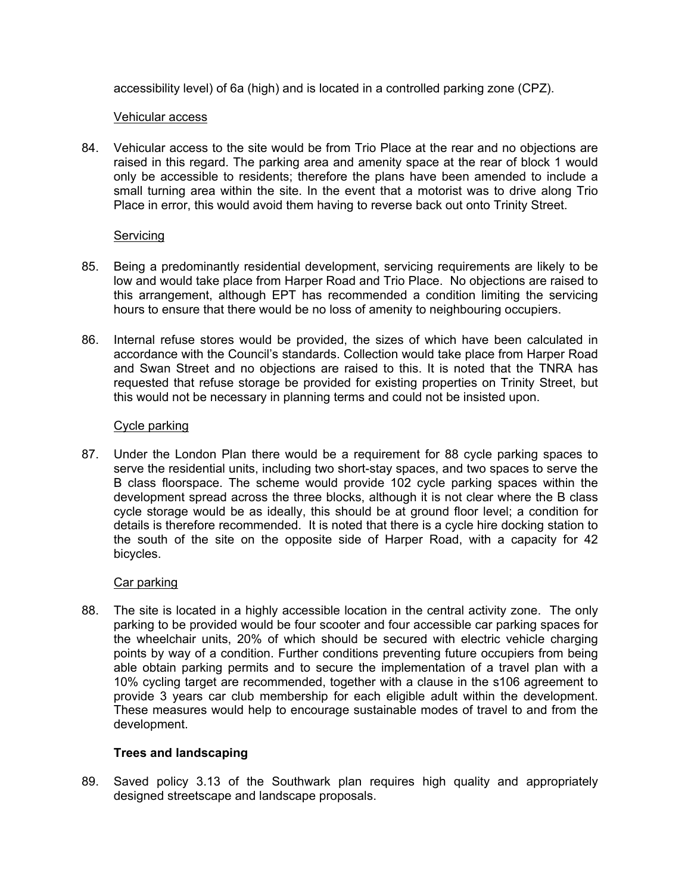accessibility level) of 6a (high) and is located in a controlled parking zone (CPZ).

#### Vehicular access

84. Vehicular access to the site would be from Trio Place at the rear and no objections are raised in this regard. The parking area and amenity space at the rear of block 1 would only be accessible to residents; therefore the plans have been amended to include a small turning area within the site. In the event that a motorist was to drive along Trio Place in error, this would avoid them having to reverse back out onto Trinity Street.

## Servicing

- 85. Being a predominantly residential development, servicing requirements are likely to be low and would take place from Harper Road and Trio Place. No objections are raised to this arrangement, although EPT has recommended a condition limiting the servicing hours to ensure that there would be no loss of amenity to neighbouring occupiers.
- 86. Internal refuse stores would be provided, the sizes of which have been calculated in accordance with the Council's standards. Collection would take place from Harper Road and Swan Street and no objections are raised to this. It is noted that the TNRA has requested that refuse storage be provided for existing properties on Trinity Street, but this would not be necessary in planning terms and could not be insisted upon.

## Cycle parking

87. Under the London Plan there would be a requirement for 88 cycle parking spaces to serve the residential units, including two short-stay spaces, and two spaces to serve the B class floorspace. The scheme would provide 102 cycle parking spaces within the development spread across the three blocks, although it is not clear where the B class cycle storage would be as ideally, this should be at ground floor level; a condition for details is therefore recommended. It is noted that there is a cycle hire docking station to the south of the site on the opposite side of Harper Road, with a capacity for 42 bicycles.

## Car parking

88. The site is located in a highly accessible location in the central activity zone. The only parking to be provided would be four scooter and four accessible car parking spaces for the wheelchair units, 20% of which should be secured with electric vehicle charging points by way of a condition. Further conditions preventing future occupiers from being able obtain parking permits and to secure the implementation of a travel plan with a 10% cycling target are recommended, together with a clause in the s106 agreement to provide 3 years car club membership for each eligible adult within the development. These measures would help to encourage sustainable modes of travel to and from the development.

# **Trees and landscaping**

89. Saved policy 3.13 of the Southwark plan requires high quality and appropriately designed streetscape and landscape proposals.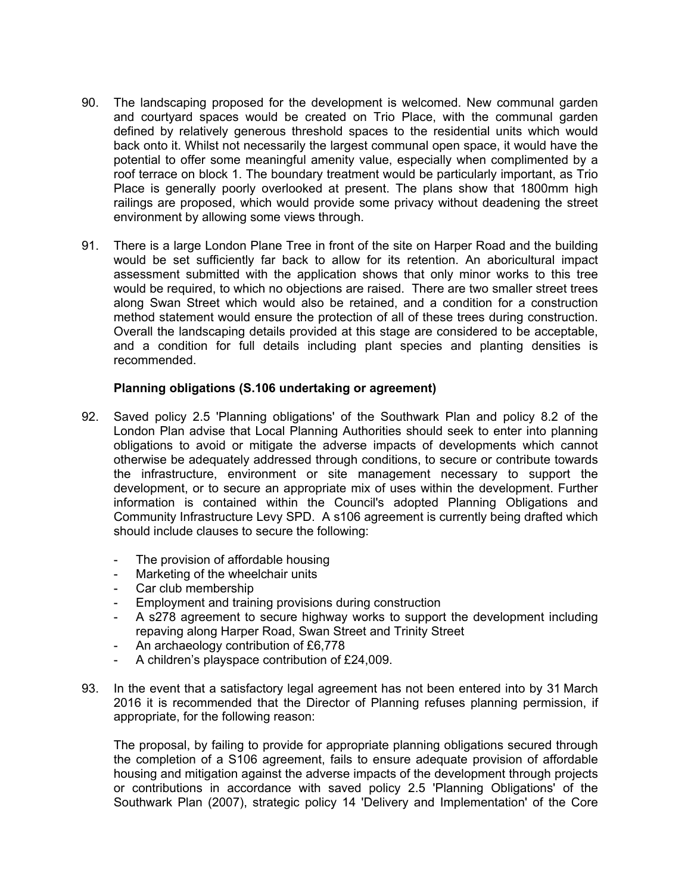- 90. The landscaping proposed for the development is welcomed. New communal garden and courtyard spaces would be created on Trio Place, with the communal garden defined by relatively generous threshold spaces to the residential units which would back onto it. Whilst not necessarily the largest communal open space, it would have the potential to offer some meaningful amenity value, especially when complimented by a roof terrace on block 1. The boundary treatment would be particularly important, as Trio Place is generally poorly overlooked at present. The plans show that 1800mm high railings are proposed, which would provide some privacy without deadening the street environment by allowing some views through.
- 91. There is a large London Plane Tree in front of the site on Harper Road and the building would be set sufficiently far back to allow for its retention. An aboricultural impact assessment submitted with the application shows that only minor works to this tree would be required, to which no objections are raised. There are two smaller street trees along Swan Street which would also be retained, and a condition for a construction method statement would ensure the protection of all of these trees during construction. Overall the landscaping details provided at this stage are considered to be acceptable, and a condition for full details including plant species and planting densities is recommended.

## **Planning obligations (S.106 undertaking or agreement)**

- 92. Saved policy 2.5 'Planning obligations' of the Southwark Plan and policy 8.2 of the London Plan advise that Local Planning Authorities should seek to enter into planning obligations to avoid or mitigate the adverse impacts of developments which cannot otherwise be adequately addressed through conditions, to secure or contribute towards the infrastructure, environment or site management necessary to support the development, or to secure an appropriate mix of uses within the development. Further information is contained within the Council's adopted Planning Obligations and Community Infrastructure Levy SPD. A s106 agreement is currently being drafted which should include clauses to secure the following:
	- The provision of affordable housing
	- Marketing of the wheelchair units
	- Car club membership
	- Employment and training provisions during construction
	- A s278 agreement to secure highway works to support the development including repaving along Harper Road, Swan Street and Trinity Street
	- An archaeology contribution of £6,778
	- A children's playspace contribution of £24,009.
- 93. In the event that a satisfactory legal agreement has not been entered into by 31 March 2016 it is recommended that the Director of Planning refuses planning permission, if appropriate, for the following reason:

The proposal, by failing to provide for appropriate planning obligations secured through the completion of a S106 agreement, fails to ensure adequate provision of affordable housing and mitigation against the adverse impacts of the development through projects or contributions in accordance with saved policy 2.5 'Planning Obligations' of the Southwark Plan (2007), strategic policy 14 'Delivery and Implementation' of the Core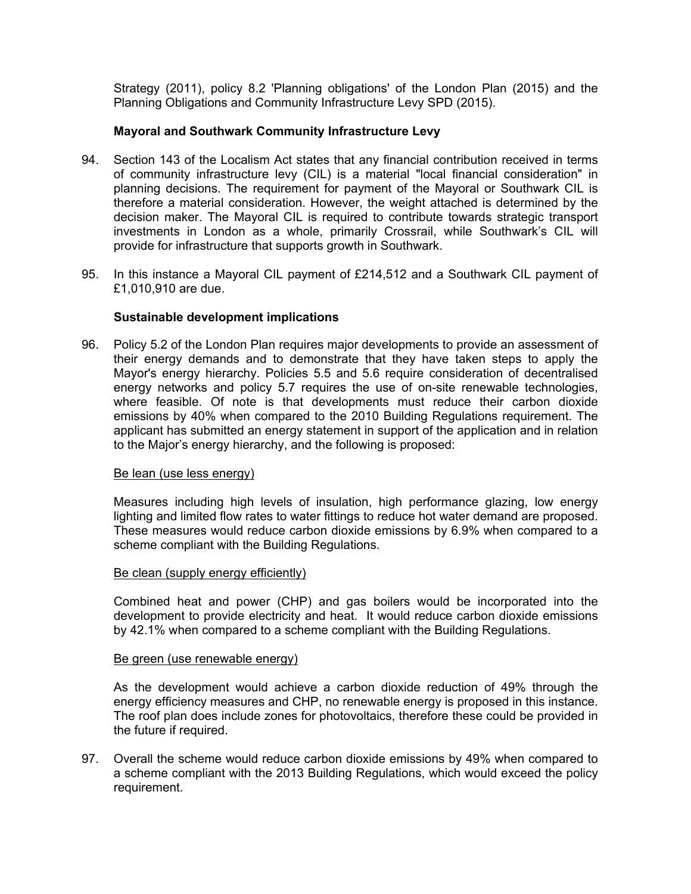Strategy (2011), policy 8.2 'Planning obligations' of the London Plan (2015) and the Planning Obligations and Community Infrastructure Levy SPD (2015).

## **Mayoral and Southwark Community Infrastructure Levy**

- 94. Section 143 of the Localism Act states that any financial contribution received in terms of community infrastructure levy (CIL) is a material "local financial consideration" in planning decisions. The requirement for payment of the Mayoral or Southwark CIL is therefore a material consideration. However, the weight attached is determined by the decision maker. The Mayoral CIL is required to contribute towards strategic transport investments in London as a whole, primarily Crossrail, while Southwark's CIL will provide for infrastructure that supports growth in Southwark.
- 95. In this instance a Mayoral CIL payment of £214,512 and a Southwark CIL payment of £1,010,910 are due.

#### **Sustainable development implications**

96. Policy 5.2 of the London Plan requires major developments to provide an assessment of their energy demands and to demonstrate that they have taken steps to apply the Mayor's energy hierarchy. Policies 5.5 and 5.6 require consideration of decentralised energy networks and policy 5.7 requires the use of on-site renewable technologies, where feasible. Of note is that developments must reduce their carbon dioxide emissions by 40% when compared to the 2010 Building Regulations requirement. The applicant has submitted an energy statement in support of the application and in relation to the Major's energy hierarchy, and the following is proposed:

#### Be lean (use less energy)

Measures including high levels of insulation, high performance glazing, low energy lighting and limited flow rates to water fittings to reduce hot water demand are proposed. These measures would reduce carbon dioxide emissions by 6.9% when compared to a scheme compliant with the Building Regulations.

#### Be clean (supply energy efficiently)

Combined heat and power (CHP) and gas boilers would be incorporated into the development to provide electricity and heat. It would reduce carbon dioxide emissions by 42.1% when compared to a scheme compliant with the Building Regulations.

#### Be green (use renewable energy)

As the development would achieve a carbon dioxide reduction of 49% through the energy efficiency measures and CHP, no renewable energy is proposed in this instance. The roof plan does include zones for photovoltaics, therefore these could be provided in the future if required.

97. Overall the scheme would reduce carbon dioxide emissions by 49% when compared to a scheme compliant with the 2013 Building Regulations, which would exceed the policy requirement.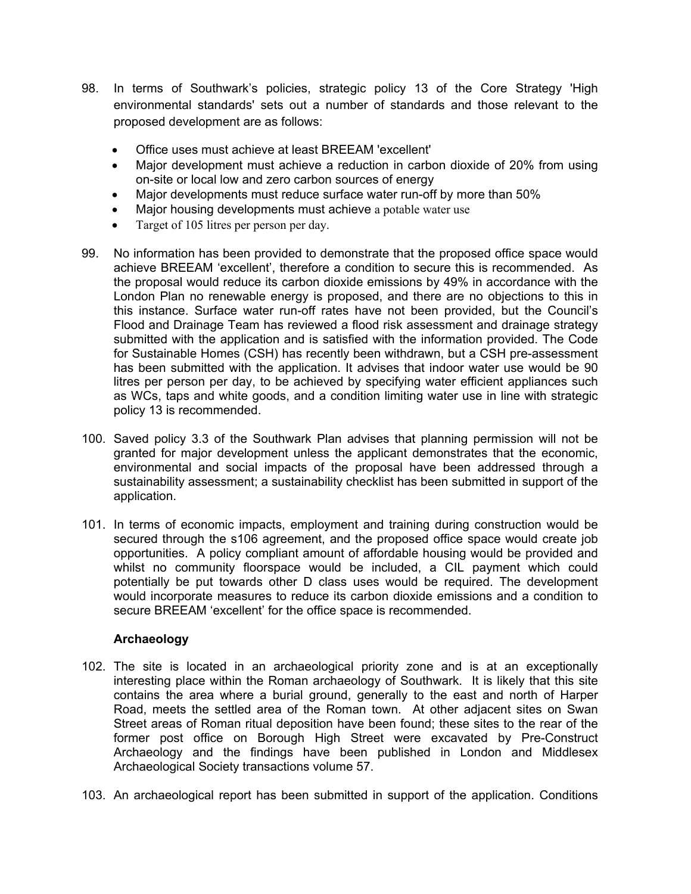- 98. In terms of Southwark's policies, strategic policy 13 of the Core Strategy 'High environmental standards' sets out a number of standards and those relevant to the proposed development are as follows:
	- Office uses must achieve at least BREEAM 'excellent'
	- Major development must achieve a reduction in carbon dioxide of 20% from using on-site or local low and zero carbon sources of energy
	- Major developments must reduce surface water run-off by more than 50%
	- Major housing developments must achieve a potable water use
	- Target of 105 litres per person per day.
- 99. No information has been provided to demonstrate that the proposed office space would achieve BREEAM 'excellent', therefore a condition to secure this is recommended. As the proposal would reduce its carbon dioxide emissions by 49% in accordance with the London Plan no renewable energy is proposed, and there are no objections to this in this instance. Surface water run-off rates have not been provided, but the Council's Flood and Drainage Team has reviewed a flood risk assessment and drainage strategy submitted with the application and is satisfied with the information provided. The Code for Sustainable Homes (CSH) has recently been withdrawn, but a CSH pre-assessment has been submitted with the application. It advises that indoor water use would be 90 litres per person per day, to be achieved by specifying water efficient appliances such as WCs, taps and white goods, and a condition limiting water use in line with strategic policy 13 is recommended.
- 100. Saved policy 3.3 of the Southwark Plan advises that planning permission will not be granted for major development unless the applicant demonstrates that the economic, environmental and social impacts of the proposal have been addressed through a sustainability assessment; a sustainability checklist has been submitted in support of the application.
- 101. In terms of economic impacts, employment and training during construction would be secured through the s106 agreement, and the proposed office space would create job opportunities. A policy compliant amount of affordable housing would be provided and whilst no community floorspace would be included, a CIL payment which could potentially be put towards other D class uses would be required. The development would incorporate measures to reduce its carbon dioxide emissions and a condition to secure BREEAM 'excellent' for the office space is recommended.

## **Archaeology**

- 102. The site is located in an archaeological priority zone and is at an exceptionally interesting place within the Roman archaeology of Southwark. It is likely that this site contains the area where a burial ground, generally to the east and north of Harper Road, meets the settled area of the Roman town. At other adjacent sites on Swan Street areas of Roman ritual deposition have been found; these sites to the rear of the former post office on Borough High Street were excavated by Pre-Construct Archaeology and the findings have been published in London and Middlesex Archaeological Society transactions volume 57.
- 103. An archaeological report has been submitted in support of the application. Conditions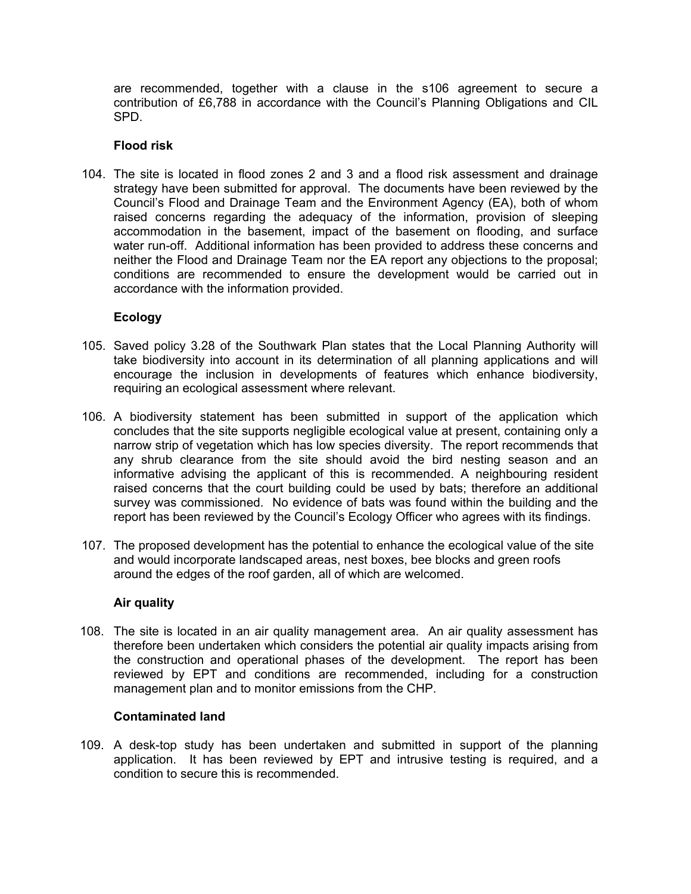are recommended, together with a clause in the s106 agreement to secure a contribution of £6,788 in accordance with the Council's Planning Obligations and CIL SPD.

## **Flood risk**

104. The site is located in flood zones 2 and 3 and a flood risk assessment and drainage strategy have been submitted for approval. The documents have been reviewed by the Council's Flood and Drainage Team and the Environment Agency (EA), both of whom raised concerns regarding the adequacy of the information, provision of sleeping accommodation in the basement, impact of the basement on flooding, and surface water run-off. Additional information has been provided to address these concerns and neither the Flood and Drainage Team nor the EA report any objections to the proposal; conditions are recommended to ensure the development would be carried out in accordance with the information provided.

# **Ecology**

- 105. Saved policy 3.28 of the Southwark Plan states that the Local Planning Authority will take biodiversity into account in its determination of all planning applications and will encourage the inclusion in developments of features which enhance biodiversity, requiring an ecological assessment where relevant.
- 106. A biodiversity statement has been submitted in support of the application which concludes that the site supports negligible ecological value at present, containing only a narrow strip of vegetation which has low species diversity. The report recommends that any shrub clearance from the site should avoid the bird nesting season and an informative advising the applicant of this is recommended. A neighbouring resident raised concerns that the court building could be used by bats; therefore an additional survey was commissioned. No evidence of bats was found within the building and the report has been reviewed by the Council's Ecology Officer who agrees with its findings.
- 107. The proposed development has the potential to enhance the ecological value of the site and would incorporate landscaped areas, nest boxes, bee blocks and green roofs around the edges of the roof garden, all of which are welcomed.

## **Air quality**

108. The site is located in an air quality management area. An air quality assessment has therefore been undertaken which considers the potential air quality impacts arising from the construction and operational phases of the development. The report has been reviewed by EPT and conditions are recommended, including for a construction management plan and to monitor emissions from the CHP.

## **Contaminated land**

109. A desk-top study has been undertaken and submitted in support of the planning application. It has been reviewed by EPT and intrusive testing is required, and a condition to secure this is recommended.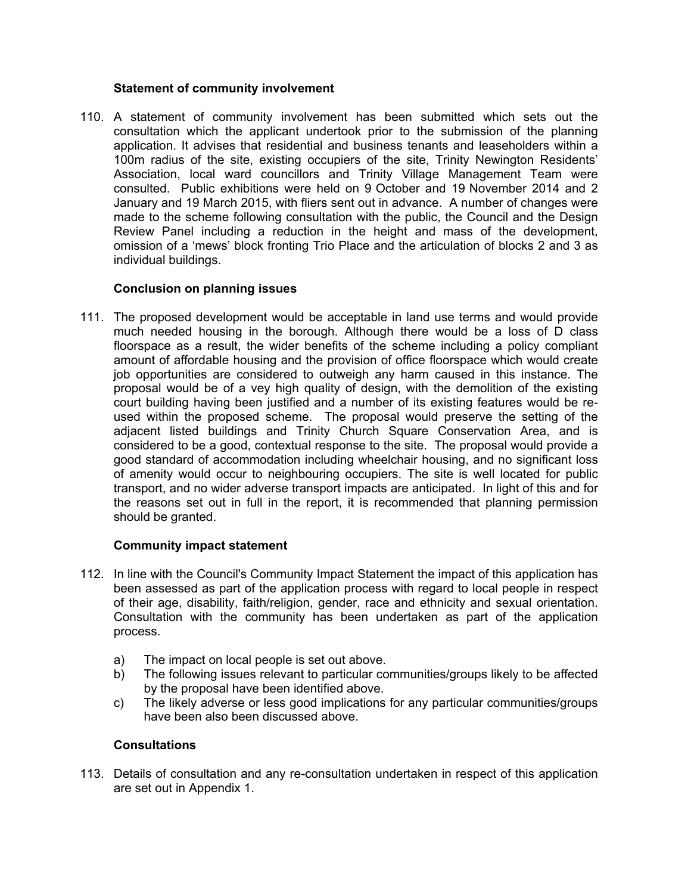## **Statement of community involvement**

110. A statement of community involvement has been submitted which sets out the consultation which the applicant undertook prior to the submission of the planning application. It advises that residential and business tenants and leaseholders within a 100m radius of the site, existing occupiers of the site, Trinity Newington Residents' Association, local ward councillors and Trinity Village Management Team were consulted. Public exhibitions were held on 9 October and 19 November 2014 and 2 January and 19 March 2015, with fliers sent out in advance. A number of changes were made to the scheme following consultation with the public, the Council and the Design Review Panel including a reduction in the height and mass of the development, omission of a 'mews' block fronting Trio Place and the articulation of blocks 2 and 3 as individual buildings.

## **Conclusion on planning issues**

111. The proposed development would be acceptable in land use terms and would provide much needed housing in the borough. Although there would be a loss of D class floorspace as a result, the wider benefits of the scheme including a policy compliant amount of affordable housing and the provision of office floorspace which would create job opportunities are considered to outweigh any harm caused in this instance. The proposal would be of a vey high quality of design, with the demolition of the existing court building having been justified and a number of its existing features would be reused within the proposed scheme. The proposal would preserve the setting of the adjacent listed buildings and Trinity Church Square Conservation Area, and is considered to be a good, contextual response to the site. The proposal would provide a good standard of accommodation including wheelchair housing, and no significant loss of amenity would occur to neighbouring occupiers. The site is well located for public transport, and no wider adverse transport impacts are anticipated. In light of this and for the reasons set out in full in the report, it is recommended that planning permission should be granted.

## **Community impact statement**

- 112. In line with the Council's Community Impact Statement the impact of this application has been assessed as part of the application process with regard to local people in respect of their age, disability, faith/religion, gender, race and ethnicity and sexual orientation. Consultation with the community has been undertaken as part of the application process.
	- a) The impact on local people is set out above.
	- b) The following issues relevant to particular communities/groups likely to be affected by the proposal have been identified above.
	- c) The likely adverse or less good implications for any particular communities/groups have been also been discussed above.

#### **Consultations**

113. Details of consultation and any re-consultation undertaken in respect of this application are set out in Appendix 1.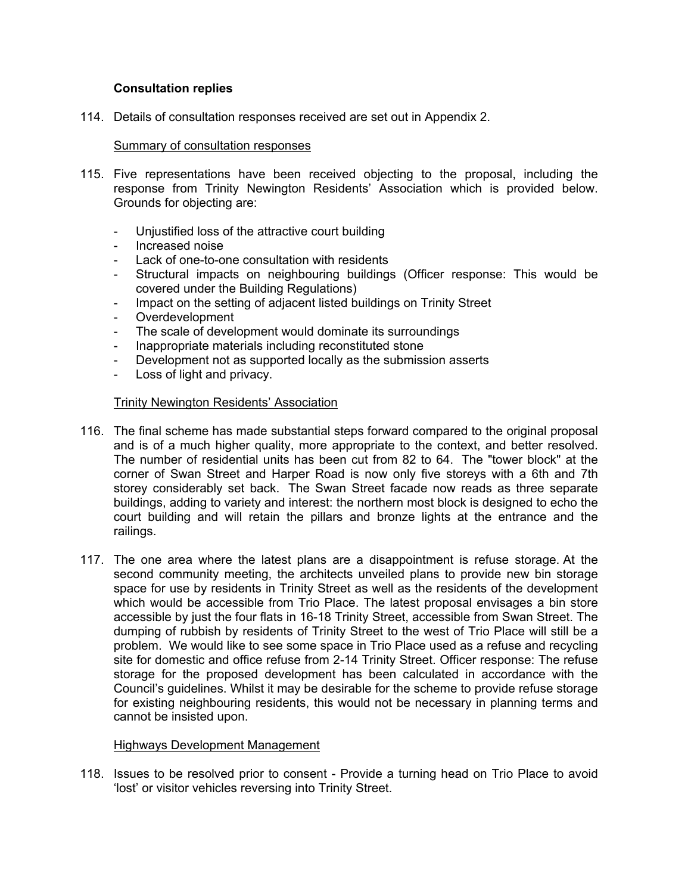## **Consultation replies**

114. Details of consultation responses received are set out in Appendix 2.

## Summary of consultation responses

- 115. Five representations have been received objecting to the proposal, including the response from Trinity Newington Residents' Association which is provided below. Grounds for objecting are:
	- Unjustified loss of the attractive court building
	- Increased noise
	- Lack of one-to-one consultation with residents
	- Structural impacts on neighbouring buildings (Officer response: This would be covered under the Building Regulations)
	- Impact on the setting of adjacent listed buildings on Trinity Street
	- Overdevelopment
	- The scale of development would dominate its surroundings
	- Inappropriate materials including reconstituted stone
	- Development not as supported locally as the submission asserts
	- Loss of light and privacy.

## Trinity Newington Residents' Association

- 116. The final scheme has made substantial steps forward compared to the original proposal and is of a much higher quality, more appropriate to the context, and better resolved. The number of residential units has been cut from 82 to 64. The "tower block" at the corner of Swan Street and Harper Road is now only five storeys with a 6th and 7th storey considerably set back. The Swan Street facade now reads as three separate buildings, adding to variety and interest: the northern most block is designed to echo the court building and will retain the pillars and bronze lights at the entrance and the railings.
- 117. The one area where the latest plans are a disappointment is refuse storage. At the second community meeting, the architects unveiled plans to provide new bin storage space for use by residents in Trinity Street as well as the residents of the development which would be accessible from Trio Place. The latest proposal envisages a bin store accessible by just the four flats in 16-18 Trinity Street, accessible from Swan Street. The dumping of rubbish by residents of Trinity Street to the west of Trio Place will still be a problem. We would like to see some space in Trio Place used as a refuse and recycling site for domestic and office refuse from 2-14 Trinity Street. Officer response: The refuse storage for the proposed development has been calculated in accordance with the Council's guidelines. Whilst it may be desirable for the scheme to provide refuse storage for existing neighbouring residents, this would not be necessary in planning terms and cannot be insisted upon.

#### Highways Development Management

118. Issues to be resolved prior to consent - Provide a turning head on Trio Place to avoid 'lost' or visitor vehicles reversing into Trinity Street.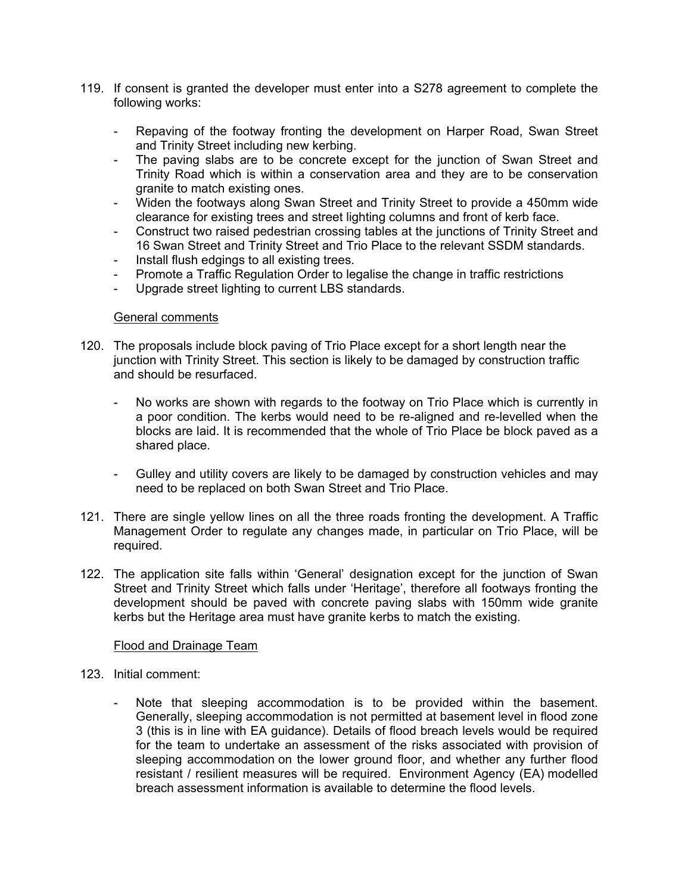- 119. If consent is granted the developer must enter into a S278 agreement to complete the following works:
	- Repaving of the footway fronting the development on Harper Road, Swan Street and Trinity Street including new kerbing.
	- The paving slabs are to be concrete except for the junction of Swan Street and Trinity Road which is within a conservation area and they are to be conservation granite to match existing ones.
	- Widen the footways along Swan Street and Trinity Street to provide a 450mm wide clearance for existing trees and street lighting columns and front of kerb face.
	- Construct two raised pedestrian crossing tables at the junctions of Trinity Street and 16 Swan Street and Trinity Street and Trio Place to the relevant SSDM standards.
	- Install flush edgings to all existing trees.
	- Promote a Traffic Regulation Order to legalise the change in traffic restrictions
	- Upgrade street lighting to current LBS standards.

#### General comments

- 120. The proposals include block paving of Trio Place except for a short length near the junction with Trinity Street. This section is likely to be damaged by construction traffic and should be resurfaced.
	- No works are shown with regards to the footway on Trio Place which is currently in a poor condition. The kerbs would need to be re-aligned and re-levelled when the blocks are laid. It is recommended that the whole of Trio Place be block paved as a shared place.
	- Gulley and utility covers are likely to be damaged by construction vehicles and may need to be replaced on both Swan Street and Trio Place.
- 121. There are single yellow lines on all the three roads fronting the development. A Traffic Management Order to regulate any changes made, in particular on Trio Place, will be required.
- 122. The application site falls within 'General' designation except for the junction of Swan Street and Trinity Street which falls under 'Heritage', therefore all footways fronting the development should be paved with concrete paving slabs with 150mm wide granite kerbs but the Heritage area must have granite kerbs to match the existing.

#### Flood and Drainage Team

- 123. Initial comment:
	- Note that sleeping accommodation is to be provided within the basement. Generally, sleeping accommodation is not permitted at basement level in flood zone 3 (this is in line with EA guidance). Details of flood breach levels would be required for the team to undertake an assessment of the risks associated with provision of sleeping accommodation on the lower ground floor, and whether any further flood resistant / resilient measures will be required. Environment Agency (EA) modelled breach assessment information is available to determine the flood levels.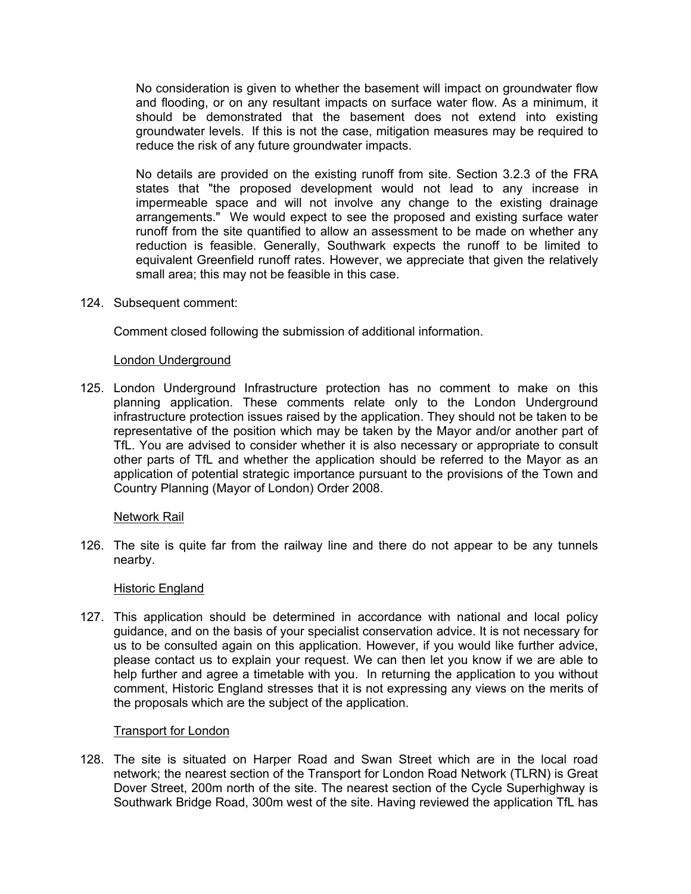No consideration is given to whether the basement will impact on groundwater flow and flooding, or on any resultant impacts on surface water flow. As a minimum, it should be demonstrated that the basement does not extend into existing groundwater levels. If this is not the case, mitigation measures may be required to reduce the risk of any future groundwater impacts.

No details are provided on the existing runoff from site. Section 3.2.3 of the FRA states that "the proposed development would not lead to any increase in impermeable space and will not involve any change to the existing drainage arrangements." We would expect to see the proposed and existing surface water runoff from the site quantified to allow an assessment to be made on whether any reduction is feasible. Generally, Southwark expects the runoff to be limited to equivalent Greenfield runoff rates. However, we appreciate that given the relatively small area; this may not be feasible in this case.

124. Subsequent comment:

Comment closed following the submission of additional information.

#### London Underground

125. London Underground Infrastructure protection has no comment to make on this planning application. These comments relate only to the London Underground infrastructure protection issues raised by the application. They should not be taken to be representative of the position which may be taken by the Mayor and/or another part of TfL. You are advised to consider whether it is also necessary or appropriate to consult other parts of TfL and whether the application should be referred to the Mayor as an application of potential strategic importance pursuant to the provisions of the Town and Country Planning (Mayor of London) Order 2008.

#### Network Rail

126. The site is quite far from the railway line and there do not appear to be any tunnels nearby.

#### Historic England

127. This application should be determined in accordance with national and local policy guidance, and on the basis of your specialist conservation advice. It is not necessary for us to be consulted again on this application. However, if you would like further advice, please contact us to explain your request. We can then let you know if we are able to help further and agree a timetable with you. In returning the application to you without comment, Historic England stresses that it is not expressing any views on the merits of the proposals which are the subject of the application.

#### Transport for London

128. The site is situated on Harper Road and Swan Street which are in the local road network; the nearest section of the Transport for London Road Network (TLRN) is Great Dover Street, 200m north of the site. The nearest section of the Cycle Superhighway is Southwark Bridge Road, 300m west of the site. Having reviewed the application TfL has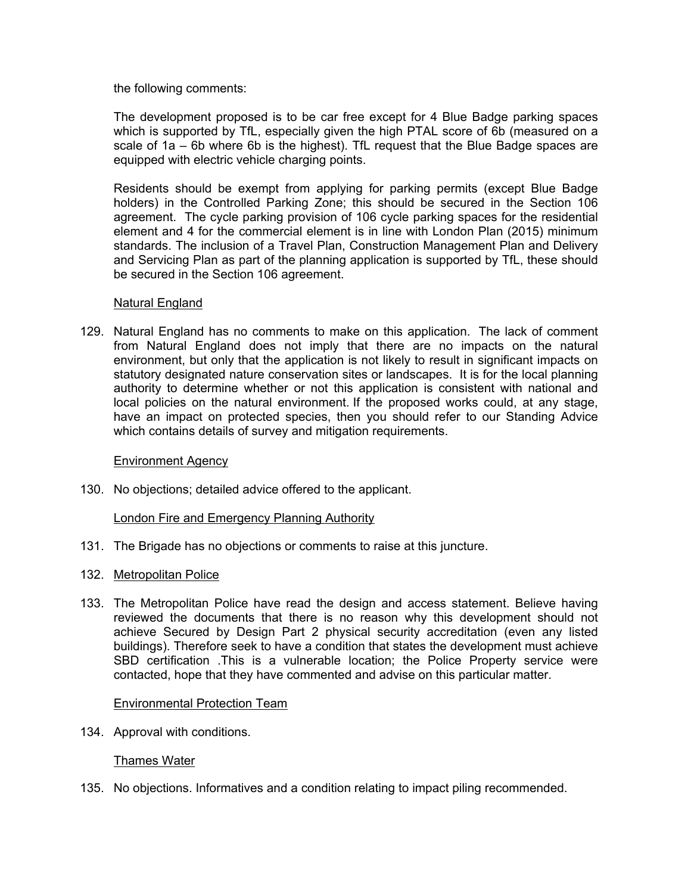the following comments:

The development proposed is to be car free except for 4 Blue Badge parking spaces which is supported by TfL, especially given the high PTAL score of 6b (measured on a scale of 1a – 6b where 6b is the highest). TfL request that the Blue Badge spaces are equipped with electric vehicle charging points.

Residents should be exempt from applying for parking permits (except Blue Badge holders) in the Controlled Parking Zone; this should be secured in the Section 106 agreement. The cycle parking provision of 106 cycle parking spaces for the residential element and 4 for the commercial element is in line with London Plan (2015) minimum standards. The inclusion of a Travel Plan, Construction Management Plan and Delivery and Servicing Plan as part of the planning application is supported by TfL, these should be secured in the Section 106 agreement.

## Natural England

129. Natural England has no comments to make on this application. The lack of comment from Natural England does not imply that there are no impacts on the natural environment, but only that the application is not likely to result in significant impacts on statutory designated nature conservation sites or landscapes. It is for the local planning authority to determine whether or not this application is consistent with national and local policies on the natural environment. If the proposed works could, at any stage, have an impact on protected species, then you should refer to our Standing Advice which contains details of survey and mitigation requirements.

## Environment Agency

130. No objections; detailed advice offered to the applicant.

#### London Fire and Emergency Planning Authority

- 131. The Brigade has no objections or comments to raise at this juncture.
- 132. Metropolitan Police
- 133. The Metropolitan Police have read the design and access statement. Believe having reviewed the documents that there is no reason why this development should not achieve Secured by Design Part 2 physical security accreditation (even any listed buildings). Therefore seek to have a condition that states the development must achieve SBD certification .This is a vulnerable location; the Police Property service were contacted, hope that they have commented and advise on this particular matter.

#### Environmental Protection Team

134. Approval with conditions.

## Thames Water

135. No objections. Informatives and a condition relating to impact piling recommended.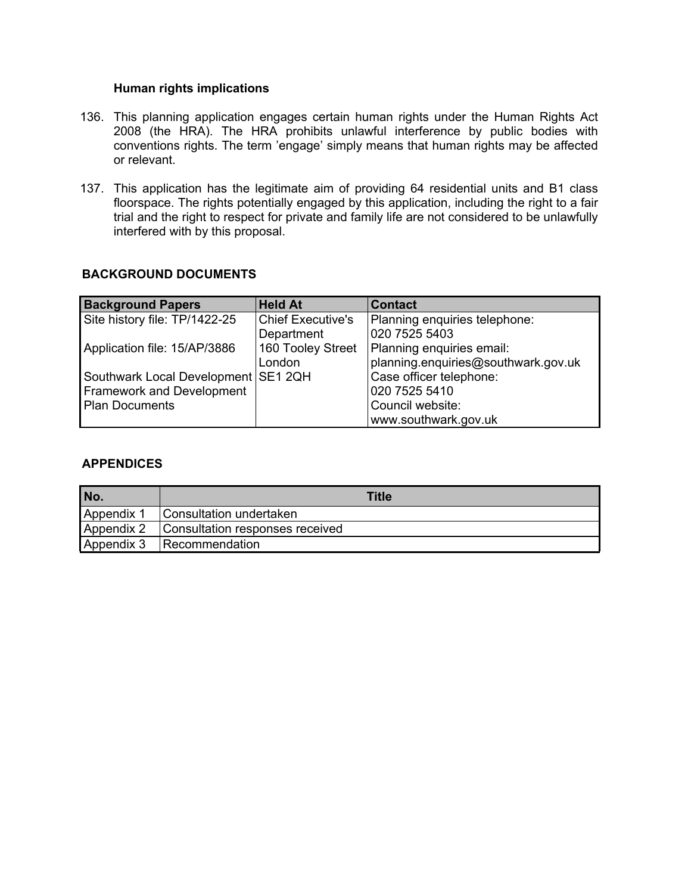#### **Human rights implications**

- 136. This planning application engages certain human rights under the Human Rights Act 2008 (the HRA). The HRA prohibits unlawful interference by public bodies with conventions rights. The term 'engage' simply means that human rights may be affected or relevant.
- 137. This application has the legitimate aim of providing 64 residential units and B1 class floorspace. The rights potentially engaged by this application, including the right to a fair trial and the right to respect for private and family life are not considered to be unlawfully interfered with by this proposal.

# **BACKGROUND DOCUMENTS**

| <b>Background Papers</b>              | <b>Held At</b>           | <b>Contact</b>                      |
|---------------------------------------|--------------------------|-------------------------------------|
| Site history file: TP/1422-25         | <b>Chief Executive's</b> | Planning enquiries telephone:       |
|                                       | Department               | 020 7525 5403                       |
| Application file: 15/AP/3886          | 160 Tooley Street        | Planning enquiries email:           |
|                                       | London                   | planning.enquiries@southwark.gov.uk |
| Southwark Local Development   SE1 2QH |                          | Case officer telephone:             |
| <b>Framework and Development</b>      |                          | 020 7525 5410                       |
| Plan Documents                        |                          | Council website:                    |
|                                       |                          | www.southwark.gov.uk                |

#### **APPENDICES**

| No.        | Title                                |
|------------|--------------------------------------|
|            | Appendix 1   Consultation undertaken |
| Appendix 2 | Consultation responses received      |
| Appendix 3 | Recommendation                       |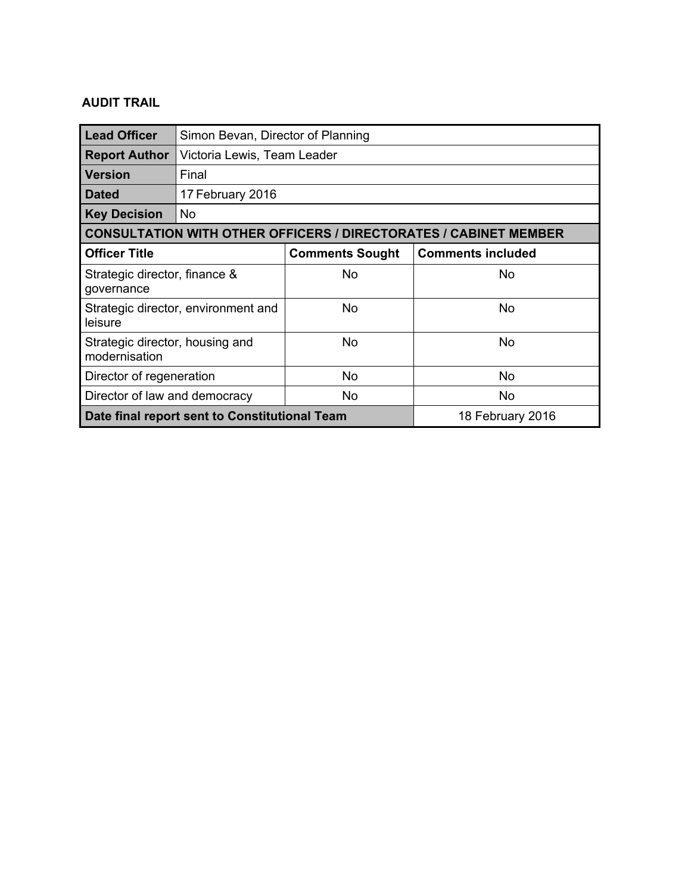# **AUDIT TRAIL**

| <b>Lead Officer</b>                                                     | Simon Bevan, Director of Planning |                        |                          |  |
|-------------------------------------------------------------------------|-----------------------------------|------------------------|--------------------------|--|
| <b>Report Author</b>                                                    | Victoria Lewis, Team Leader       |                        |                          |  |
| l Version                                                               | Final                             |                        |                          |  |
| <b>Dated</b>                                                            | 17 February 2016                  |                        |                          |  |
| <b>Key Decision</b>                                                     | No.                               |                        |                          |  |
| <b>CONSULTATION WITH OTHER OFFICERS / DIRECTORATES / CABINET MEMBER</b> |                                   |                        |                          |  |
| <b>Officer Title</b>                                                    |                                   | <b>Comments Sought</b> | <b>Comments included</b> |  |
| Strategic director, finance &<br>governance                             |                                   | <b>No</b>              | No                       |  |
| Strategic director, environment and<br>leisure                          |                                   | <b>No</b>              | No                       |  |
| Strategic director, housing and<br>modernisation                        |                                   | No                     | No                       |  |
| Director of regeneration                                                |                                   | <b>No</b>              | <b>No</b>                |  |
| Director of law and democracy                                           |                                   | No                     | No                       |  |
| Date final report sent to Constitutional Team                           |                                   |                        | 18 February 2016         |  |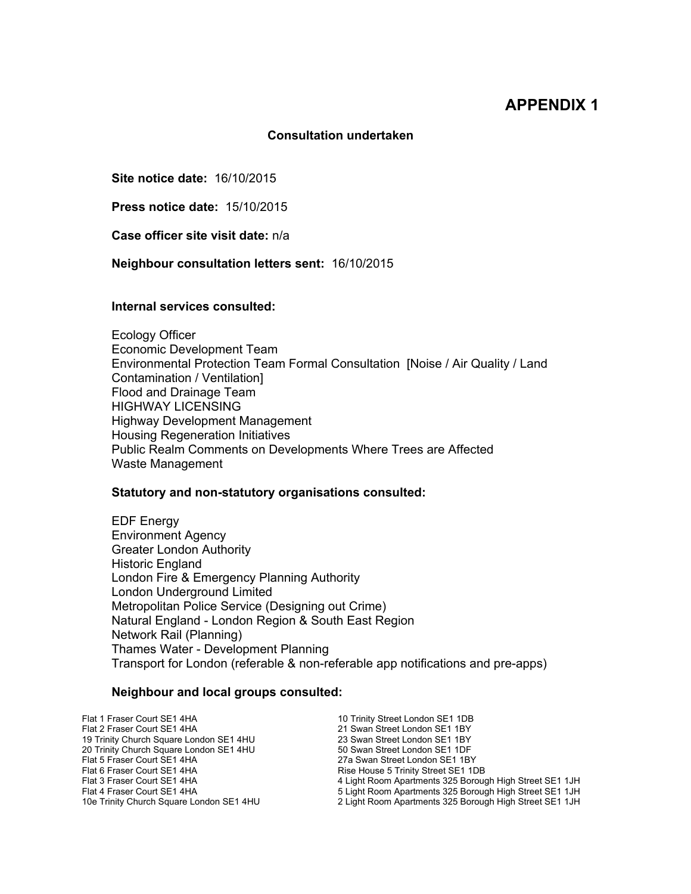# **APPENDIX 1**

#### **Consultation undertaken**

**Site notice date:** 16/10/2015

**Press notice date:** 15/10/2015

**Case officer site visit date:** n/a

**Neighbour consultation letters sent:** 16/10/2015

#### **Internal services consulted:**

Ecology Officer Economic Development Team Environmental Protection Team Formal Consultation [Noise / Air Quality / Land Contamination / Ventilation] Flood and Drainage Team HIGHWAY LICENSING Highway Development Management Housing Regeneration Initiatives Public Realm Comments on Developments Where Trees are Affected Waste Management

#### **Statutory and non-statutory organisations consulted:**

EDF Energy Environment Agency Greater London Authority Historic England London Fire & Emergency Planning Authority London Underground Limited Metropolitan Police Service (Designing out Crime) Natural England - London Region & South East Region Network Rail (Planning) Thames Water - Development Planning Transport for London (referable & non-referable app notifications and pre-apps)

#### **Neighbour and local groups consulted:**

Flat 1 Fraser Court SE1 4HA 10 Trinity Street London SE1 1DB Flat 2 Fraser Court SE1 4HA 21 Swan Street London SE1 1BY<br>19 Trinity Church Square London SE1 4HU 23 Swan Street London SE1 1BY 19 Trinity Church Square London SE1 4HU 23 Swan Street London SE1 1BY<br>20 Trinity Church Square London SE1 4HU 50 Swan Street London SE1 1DF 20 Trinity Church Square London SE1 4HU<br>Flat 5 Fraser Court SE1 4HA Flat 5 Fraser Court SE1 4HA 27a Swan Street London SE1 1BY Flat 6 Fraser Court SE1 4HA Rise House 5 Trinity Street SE1 1DB 4 Light Room Apartments 325 Borough High Street SE1 1JH Flat 4 Fraser Court SE1 4HA 5 Light Room Apartments 325 Borough High Street SE1 1JH<br>10e Trinity Church Square London SE1 4HU 5 2 Light Room Apartments 325 Borough High Street SE1 1JH 2 Light Room Apartments 325 Borough High Street SE1 1JH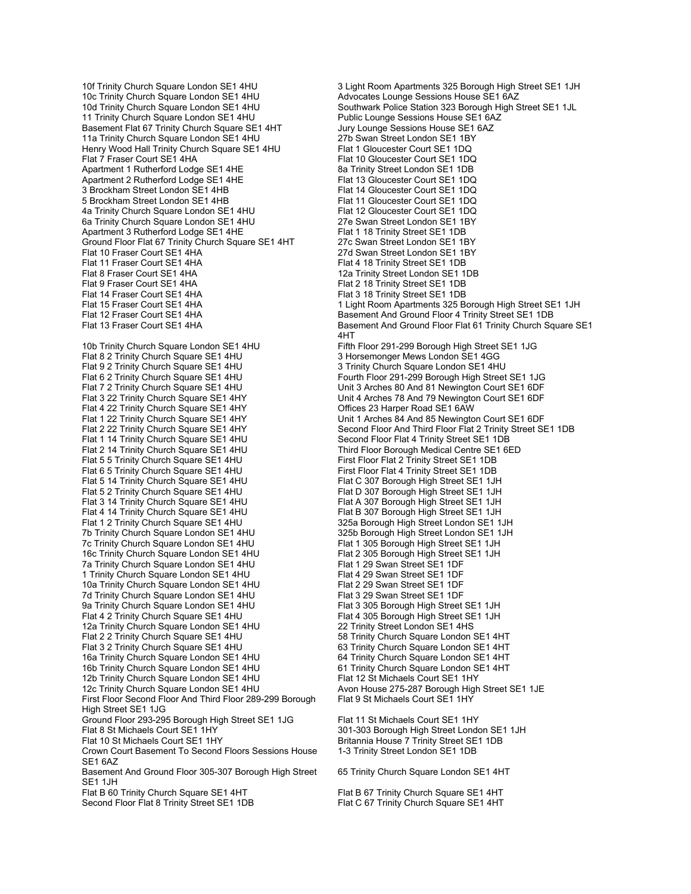10c Trinity Church Square London SE1 4HU Advocates Lounge Sessions House SE1 6AZ<br>10d Trinity Church Square London SE1 4HU Southwark Police Station 323 Borough High S 11 Trinity Church Square London SE1 4HU Public Lounge Sessions House SE1 6AZ Basement Flat 67 Trinity Church Square SE1 4HT Jury Lounge Sessions House SE1 6AZ<br>11a Trinity Church Square London SE1 4HU 27b Swan Street London SE1 1BY 11a Trinity Church Square London SE1 4HU 27b Swan Street London SE1 1B<br>Henry Wood Hall Trinity Church Square SE1 4HU Flat 1 Gloucester Court SE1 1DQ Henry Wood Hall Trinity Church Square SE1 4HU Flat 7 Fraser Court SE1 4HA Flat 10 Gloucester Court SE1 1DQ Apartment 1 Rutherford Lodge SE1 4HE 8a Trinity Street London SE1 1DB<br>Apartment 2 Rutherford Lodge SE1 4HE 8a Trinity Street Court SE1 1DQ Apartment 2 Rutherford Lodge SE1 4HE 3 Brockham Street London SE1 4HB Flat 14 Gloucester Court SE1 1DQ<br>5 Brockham Street London SE1 4HB Flat 11 Gloucester Court SE1 1DQ 5 Brockham Street London SE1 4HB 4a Trinity Church Square London SE1 4HU<br>
6a Trinity Church Square London SE1 4HU<br>
27e Swan Street London SE1 1BY 6a Trinity Church Square London SE1 4HU Apartment 3 Rutherford Lodge SE1 4HE Flat 1 18 Trinity Street SE1 1DB<br>Ground Floor Flat 67 Trinity Church Square SE1 4HT 27c Swan Street London SE1 1BY Ground Floor Flat 67 Trinity Church Square SE1 4HT<br>Flat 10 Fraser Court SE1 4HA Flat 10 Fraser Court SE1 4HA 27d Swan Street London SE1 1BY Flat 11 Fraser Court SE1 4HA Flat 4 18 Trinity Street SE1 1DB<br>Flat 8 Fraser Court SE1 4HA Flat 8 Fraser Court SE1 1 Flat 9 Fraser Court SE1 4HA Flat 2 18 Trinity Street SE1 1DB Flat 14 Fraser Court SE1 4HA Flat 3 18 Trinity Street SE1 1DB<br>Flat 15 Fraser Court SE1 4HA Flat 15 Trinity Street S25 B Flat 12 Fraser Court SE1 4HA Basement And Ground Floor 4 Trinity Street SE1 1DB<br>Flat 13 Fraser Court SE1 4HA Basement And Ground Floor Flat 61 Trinity Church Sq 10b Trinity Church Square London SE1 4HU Fifth Floor 291-299 Borough High Street SE1 1JG Flat 8 2 Trinity Church Square SE1 4HU 3 Horsemonger Mews London SE1 4GG<br>Flat 9 2 Trinity Church Square SE1 4HU 3 Trinity Church Square London SE1 4H Flat 9 2 Trinity Church Square SE1 4HU 3 Trinity Church Square London SE1 4HU<br>
Flat 6 2 Trinity Church Square SE1 4HU 5 Fourth Floor 291-299 Borough High Street Flat 6 2 Trinity Church Square SE1 4HU Fourth Floor 291-299 Borough High Street SE1 1JG<br>Flat 7 2 Trinity Church Square SE1 4HU Fourth Floor 2011 10 Unit 3 Arches 80 And 81 Newington Court SE1 6DF Flat 7 2 Trinity Church Square SE1 4HU Unit 3 Arches 80 And 81 Newington Court SE1 6DF<br>Flat 3 22 Trinity Church Square SE1 4HY Unit 4 Arches 78 And 79 Newington Court SE1 6DF Flat 4 22 Trinity Church Square SE1 4HY<br>Flat 1 22 Trinity Church Square SE1 4HY Flat 1 22 Trinity Church Square SE1 4HY Unit 1 Arches 84 And 85 Newington Court SE1 6DF<br>Flat 2 22 Trinity Church Square SE1 4HY Street SE Second Floor And Third Floor Flat 2 Trinity Street SE Flat 2 22 Trinity Church Square SE1 4HY Second Floor And Third Floor Flat 2 Trinity Street SE1 1DB<br>Flat 1 14 Trinity Church Square SE1 4HU Second Floor Flat 4 Trinity Street SE1 1DB Flat 1 14 Trinity Church Square SE1 4HU Second Floor Flat 4 Trinity Street SE1 1DB<br>Flat 2 14 Trinity Church Square SE1 4HU Third Floor Borough Medical Centre SE1 6E Flat 5 5 Trinity Church Square SE1 4HU<br>Flat 6 5 Trinity Church Square SE1 4HU First Floor Flat 4 Trinity Street SE1 1DB Flat 6 5 Trinity Church Square SE1 4 HU Flat 5 14 Trinity Church Square SE1 4HU Flat C 307 Borough High Street SE1 1JH<br>Flat 5 2 Trinity Church Square SE1 4HU Flat D 307 Borough High Street SE1 1JH Flat 3 14 Trinity Church Square SE1 4HU Flat 4 14 Trinity Church Square SE1 4HU Flat B 307 Borough High Street SE1 1JH<br>Flat 1 2 Trinity Church Square SE1 4HU 325a Borough High Street London SE1 1 Flat 1 2 Trinity Church Square SE1 4HU 325a Borough High Street London SE1 1JH<br>7b Trinity Church Square London SE1 4HU 325b Borough High Street London SE1 1JH 7c Trinity Church Square London SE1 4HU 16c Trinity Church Square London SE1 4HU Flat 2 305 Borough High Street SE1 1JH<br>Ta Trinity Church Square London SE1 4HU Flat 1 29 Swan Street SE1 1DF 7a Trinity Church Square London SE1 4HU 1 Trinity Church Square London SE1 4HU Flat 4 29 Swan Street SE1 1DF<br>10a Trinity Church Square London SE1 4HU Flat 2 29 Swan Street SE1 1DF 10a Trinity Church Square London SE1 4HU 7d Trinity Church Square London SE1 4HU<br>
9a Trinity Church Square London SE1 4HU<br>
Flat 3 305 Borough High Street SE1 1JH 9a Trinity Church Square London SE1 4HU Flat 4 2 Trinity Church Square SE1 4HU Flat 4 305 Borough High Street SE1 1JH<br>12a Trinity Church Square London SE1 4HU Flat 42 Trinity Street London SE1 4HS 12a Trinity Church Square London SE1 4HU Flat 2 2 Trinity Church Square SE1 4HU 58 Trinity Church Square London SE1 4HT<br>Flat 3 2 Trinity Church Square SE1 4HU 58 Trinity Church Square London SE1 4HT 16a Trinity Church Square London SE1 4HU 64 Trinity Church Square London SE1 4HT 16b Trinity Church Square London SE1 4HU 61 Trinity Church Square London SE1 4HT 12b Trinity Church Square London SE1 4HU Flat 12 St Michaels Court SE1 1HY<br>12c Trinity Church Square London SE1 4HU Avon House 275-287 Borough High First Floor Second Floor And Third Floor 289-299 Borough High Street SE1 1JG Ground Floor 293-295 Borough High Street SE1 1JG Flat 11 St Michaels Court SE1 1HY<br>Flat 8 St Michaels Court SE1 1HY Flat 8 St Michaels Court SE1 1HY Flat 10 St Michaels Court SE1 1HY Britannia House 7 Trinity Street SE1 1DB Crown Court Basement To Second Floors Sessions House SE1 6AZ Basement And Ground Floor 305-307 Borough High Street SE1 1JH Flat B 60 Trinity Church Square SE1 4HT Flat B 67 Trinity Church Square SE1 4HT Flat B 67 Trinity Church Square SE1 4HT Second Floor Flat 8 Trinity Street SE1 1DB

10f Trinity Church Square London SE1 4HU 3 Light Room Apartments 325 Borough High Street SE1 1JH<br>10c Trinity Church Square London SE1 4HU Advocates Lounge Sessions House SE1 6AZ Southwark Police Station 323 Borough High Street SE1 1JL 12a Trinity Street London SE1 1DB Flat 15 Fraser Court SE1 4HA 1 Light Room Apartments 325 Borough High Street SE1 1JH<br>1 Light Room Apartments 325 Borough High Street SE1 1DB Basement And Ground Floor Flat 61 Trinity Church Square SE1 4HT Unit 4 Arches 78 And 79 Newington Court SE1 6DF<br>Offices 23 Harper Road SE1 6AW Third Floor Borough Medical Centre SE1 6ED<br>First Floor Flat 2 Trinity Street SE1 1DB Flat D 307 Borough High Street SE1 1JH<br>Flat A 307 Borough High Street SE1 1JH 325b Borough High Street London SE1 1JH<br>Flat 1 305 Borough High Street SE1 1JH 63 Trinity Church Square London SE1 4HT Avon House 275-287 Borough High Street SE1 1JE Flat 9 St Michaels Court SE1 1HY 301-303 Borough High Street London SE1 1JH

1-3 Trinity Street London SE1 1DB

65 Trinity Church Square London SE1 4HT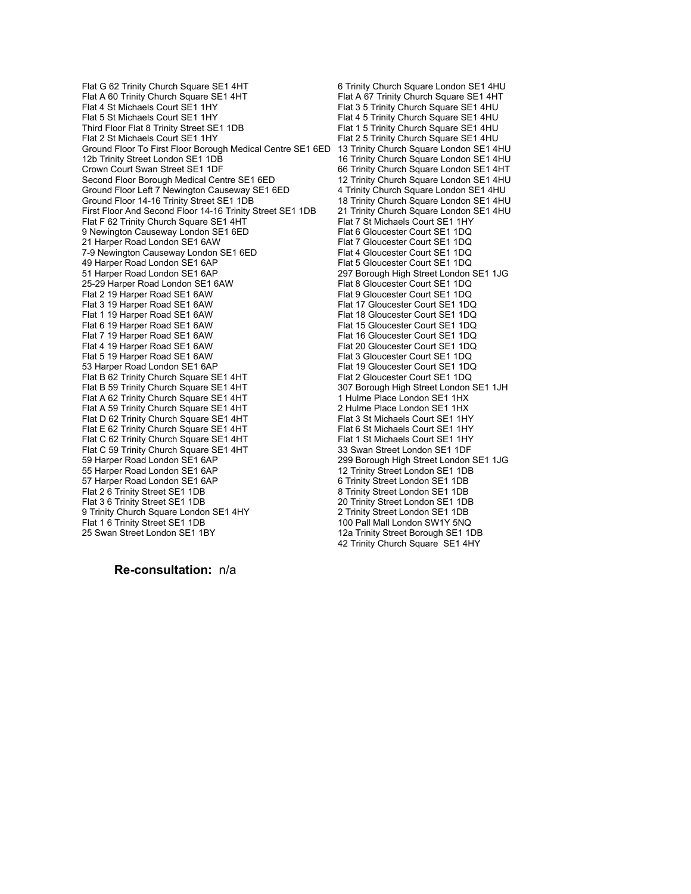Flat G 62 Trinity Church Square SE1 4HT 6 Trinity Church Square London SE1 4HU<br>Flat A 60 Trinity Church Square SE1 4HT 6 Trinity Church Square SE1 4HT Flat A 60 Trinity Church Square SE1 4HT<br>Flat 4 St Michaels Court SE1 1HY Flat 4 St Michaels Court SE1 1HY Flat 3 5 Trinity Church Square SE1 4HU<br>Flat 5 St Michaels Court SE1 1HY Flat 4 5 Trinity Church Square SE1 4HU Third Floor Flat 8 Trinity Street SE1 1DB<br>Flat 2 St Michaels Court SE1 1HY Flat 2 5 Trinity Church Square SE1 4HU Ground Floor To First Floor Borough Medical Centre SE1 6ED 13 Trinity Church Square London SE1 4HU Crown Court Swan Street SE1 1DF 66 Trinity Church Square London SE1 4HT<br>
Second Floor Borough Medical Centre SE1 6ED 12 Trinity Church Square London SE1 4HU Second Floor Borough Medical Centre SE1 6ED Ground Floor Left 7 Newington Causeway SE1 6ED 4 Trinity Church Square London SE1 4 HU<br>4 Trinity Church Square London SE1 4 HU Ground Floor 14-16 Trinity Street SE1 1DB First Floor And Second Floor 14-16 Trinity Street SE1 1DB 21 Trinity Church Square London SE1 4HU<br>Flat 7 St Michaels Court SE1 1HY Flat F 62 Trinity Church Square SE1 4HT 9 Newington Causeway London SE1 6ED<br>
21 Harper Road London SE1 6AW Flat 7 Gloucester Court SE1 1DQ 21 Harper Road London SE1 6AW Flat 7 Gloucester Court SE1 1DQ<br>21 T-9 Newington Causeway London SE1 6ED Flat 4 Gloucester Court SE1 1DQ 7-9 Newington Causeway London SE1 6ED<br>49 Harper Road London SE1 6AP Flat 5 Gloucester Court SE1 1DQ 49 Harper Road London SE1 6AP 51 Harper Road London SE1 6AP 297 Borough High Street London SE1 1JG 25-29 Harper Road London SE1 6AW Flat 8 Gloucester Court SE1 1DQ<br>Flat 2 19 Harper Road SE1 6AW Flat 9 Gloucester Court SE1 1DQ Flat 2 19 Harper Road SE1 6AW Flat 9 Gloucester Court SE1 1DQ<br>Flat 3 19 Harper Road SE1 6AW Flat 17 Gloucester Court SE1 1DQ Flat 3 19 Harper Road SE1 6AW Flat 17 Gloucester Court SE1 1DQ<br>Flat 1 19 Harper Road SE1 6AW Flat 18 Gloucester Court SE1 1DQ Flat 1 19 Harper Road SE1 6AW Flat 18 Gloucester Court SE1 1DQ<br>Flat 6 19 Harper Road SE1 6AW Flat 15 Gloucester Court SE1 1DQ Flat 6 19 Harper Road SE1 6AW Flat 15 Gloucester Court SE1 1DQ<br>Flat 7 19 Harper Road SE1 6AW Flat 16 Gloucester Court SE1 1DQ Flat 7 19 Harper Road SE1 6AW Flat 16 Gloucester Court SE1 1DQ<br>Flat 4 19 Harper Road SE1 6AW Flat 20 Gloucester Court SE1 1DQ Flat 5 19 Harper Road SE1 6AW Flat 3 Gloucester Court SE1 1DQ<br>53 Harper Road London SE1 6AP Flat 19 Gloucester Court SE1 1DQ Flat B 62 Trinity Church Square SE1 4HT<br>Flat B 59 Trinity Church Square SE1 4HT Flat A 62 Trinity Church Square SE1 4HT 1 1 Hulme Place London SE1 1HX<br>1 Hulme Place London SE1 1HX<br>1 Hulme Place London SE1 1HX Flat A 59 Trinity Church Square SE1 4HT 2 Hulme Place London SE1 1HX<br>2 Hulme Place London SE1 1HT 2 Flat 3 St Michaels Court SE1 1HY Flat D 62 Trinity Church Square SE1 4HT Flat 3 St Michaels Court SE1 1HY<br>Flat E 62 Trinity Church Square SE1 4HT Flat 6 St Michaels Court SE1 1HY Flat E 62 Trinity Church Square SE1 4HT Flat 6 St Michaels Court SE1 1HY<br>Flat C 62 Trinity Church Square SE1 4HT Flat 1 St Michaels Court SE1 1HY Flat C 62 Trinity Church Square SE1 4HT<br>Flat C 59 Trinity Church Square SE1 4HT Flat C 59 Trinity Church Square SE1 4HT 33 Swan Street London SE1 1DF Flat C 59 Trinity Church Square SE1 4HT<br>59 Harper Road London SE1 6AP 55 Harper Road London SE1 6AP 57 Harper Road London SE1 6AP 6 6 Trinity Street London SE1 1DB<br>Flat 2 6 Trinity Street SE1 1DB 6 6 Trinity Street London SE1 1DB Flat 2 6 Trinity Street SE1 1DB<br>
Flat 3 6 Trinity Street SE1 1DB<br>
20 Trinity Street London SE1 1DB 9 Trinity Church Square London SE1 4HY 2 Trinity Street London SE1 1DB<br>Flat 1 6 Trinity Street SE1 1DB 2 2 2 2 100 Pall Mall London SW1Y 5NQ Flat 1 6 Trinity Street SE1 1DB<br>25 Swan Street London SE1 1BY<br>12a Trinity Street Borough SE1 1I

Flat 4 5 Trinity Church Square SE1 4HU Flat 2 5 Trinity Church Square SE1 4HU 16 Trinity Church Square London SE1 4HU Flat 20 Gloucester Court SE1 1DQ Flat 19 Gloucester Court SE1 1DQ<br>Flat 2 Gloucester Court SE1 1DQ 307 Borough High Street London SE1 1JH<br>1 Hulme Place London SE1 1HX 299 Borough High Street London SE1 1JG<br>12 Trinity Street London SE1 1DB 20 Trinity Street London SE1 1DB 12a Trinity Street Borough SE1 1DB 42 Trinity Church Square SE1 4HY

**Re-consultation:** n/a